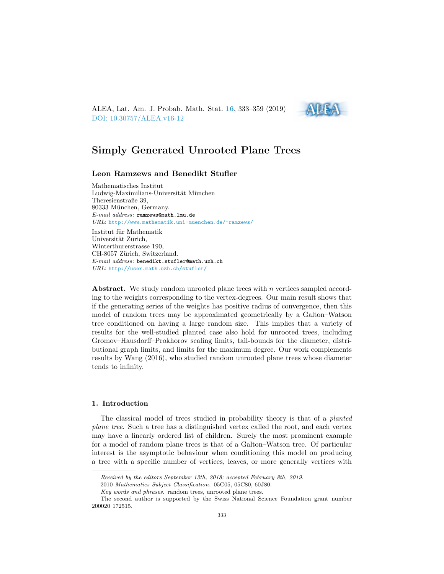ALEA, Lat. Am. J. Probab. Math. Stat. [16](http://alea.impa.br/english/index_v16.htm), 333–359 (2019) [DOI: 10.30757/ALEA.v16-12](https://doi.org/10.30757/ALEA.v16-12)



# Simply Generated Unrooted Plane Trees

# Leon Ramzews and Benedikt Stufler

Mathematisches Institut Ludwig-Maximilians-Universität München Theresienstraße 39, 80333 München, Germany. E-mail address: ramzews@math.lmu.de URL: <http://www.mathematik.uni-muenchen.de/~ramzews/>

Institut für Mathematik Universität Zürich, Winterthurerstrasse 190, CH-8057 Zürich, Switzerland. E-mail address: benedikt.stufler@math.uzh.ch URL: <http://user.math.uzh.ch/stufler/>

Abstract. We study random unrooted plane trees with n vertices sampled according to the weights corresponding to the vertex-degrees. Our main result shows that if the generating series of the weights has positive radius of convergence, then this model of random trees may be approximated geometrically by a Galton–Watson tree conditioned on having a large random size. This implies that a variety of results for the well-studied planted case also hold for unrooted trees, including Gromov–Hausdorff–Prokhorov scaling limits, tail-bounds for the diameter, distributional graph limits, and limits for the maximum degree. Our work complements results by Wang (2016), who studied random unrooted plane trees whose diameter tends to infinity.

#### 1. Introduction

The classical model of trees studied in probability theory is that of a planted plane tree. Such a tree has a distinguished vertex called the root, and each vertex may have a linearly ordered list of children. Surely the most prominent example for a model of random plane trees is that of a Galton–Watson tree. Of particular interest is the asymptotic behaviour when conditioning this model on producing a tree with a specific number of vertices, leaves, or more generally vertices with

Received by the editors September 13th, 2018; accepted February 8th, 2019.

<sup>2010</sup> Mathematics Subject Classification. 05C05, 05C80, 60J80.

Key words and phrases. random trees, unrooted plane trees.

The second author is supported by the Swiss National Science Foundation grant number 200020 172515.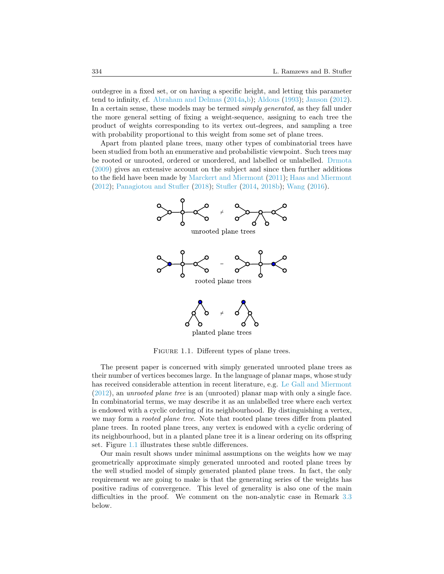outdegree in a fixed set, or on having a specific height, and letting this parameter tend to infinity, cf. [Abraham and Delmas](#page-24-0) [\(2014a,](#page-24-0)[b\)](#page-24-1); [Aldous](#page-24-2) [\(1993\)](#page-24-2); [Janson](#page-25-0) [\(2012\)](#page-25-0). In a certain sense, these models may be termed simply generated, as they fall under the more general setting of fixing a weight-sequence, assigning to each tree the product of weights corresponding to its vertex out-degrees, and sampling a tree with probability proportional to this weight from some set of plane trees.

Apart from planted plane trees, many other types of combinatorial trees have been studied from both an enumerative and probabilistic viewpoint. Such trees may be rooted or unrooted, ordered or unordered, and labelled or unlabelled. [Drmota](#page-24-3) [\(2009\)](#page-24-3) gives an extensive account on the subject and since then further additions to the field have been made by [Marckert and Miermont](#page-25-1) [\(2011\)](#page-25-1); [Haas and Miermont](#page-25-2) [\(2012\)](#page-25-2); [Panagiotou and Stufler](#page-25-3) [\(2018\)](#page-25-3); [Stufler](#page-25-4) [\(2014,](#page-25-4) [2018b\)](#page-25-5); [Wang](#page-26-0) [\(2016\)](#page-26-0).



<span id="page-1-0"></span>FIGURE 1.1. Different types of plane trees.

The present paper is concerned with simply generated unrooted plane trees as their number of vertices becomes large. In the language of planar maps, whose study has received considerable attention in recent literature, e.g. [Le Gall and Miermont](#page-25-6) [\(2012\)](#page-25-6), an unrooted plane tree is an (unrooted) planar map with only a single face. In combinatorial terms, we may describe it as an unlabelled tree where each vertex is endowed with a cyclic ordering of its neighbourhood. By distinguishing a vertex, we may form a rooted plane tree. Note that rooted plane trees differ from planted plane trees. In rooted plane trees, any vertex is endowed with a cyclic ordering of its neighbourhood, but in a planted plane tree it is a linear ordering on its offspring set. Figure [1.1](#page-1-0) illustrates these subtle differences.

Our main result shows under minimal assumptions on the weights how we may geometrically approximate simply generated unrooted and rooted plane trees by the well studied model of simply generated planted plane trees. In fact, the only requirement we are going to make is that the generating series of the weights has positive radius of convergence. This level of generality is also one of the main difficulties in the proof. We comment on the non-analytic case in Remark [3.3](#page-5-0) below.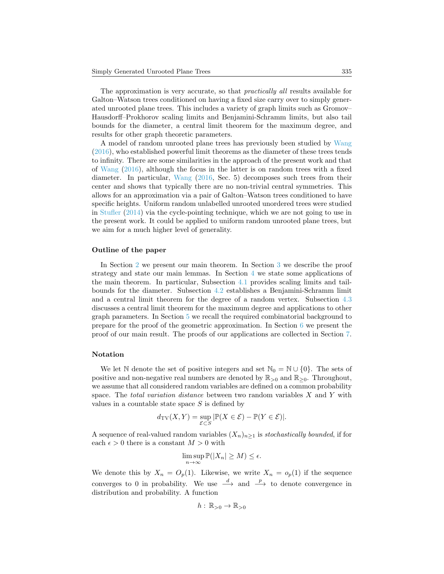The approximation is very accurate, so that *practically all* results available for Galton–Watson trees conditioned on having a fixed size carry over to simply generated unrooted plane trees. This includes a variety of graph limits such as Gromov– Hausdorff–Prokhorov scaling limits and Benjamini-Schramm limits, but also tail bounds for the diameter, a central limit theorem for the maximum degree, and results for other graph theoretic parameters.

A model of random unrooted plane trees has previously been studied by [Wang](#page-26-0) [\(2016\)](#page-26-0), who established powerful limit theorems as the diameter of these trees tends to infinity. There are some similarities in the approach of the present work and that of [Wang](#page-26-0) [\(2016\)](#page-26-0), although the focus in the latter is on random trees with a fixed diameter. In particular, [Wang](#page-26-0) [\(2016,](#page-26-0) Sec. 5) decomposes such trees from their center and shows that typically there are no non-trivial central symmetries. This allows for an approximation via a pair of Galton–Watson trees conditioned to have specific heights. Uniform random unlabelled unrooted unordered trees were studied in [Stufler](#page-25-4) [\(2014\)](#page-25-4) via the cycle-pointing technique, which we are not going to use in the present work. It could be applied to uniform random unrooted plane trees, but we aim for a much higher level of generality.

### Outline of the paper

In Section [2](#page-3-0) we present our main theorem. In Section [3](#page-4-0) we describe the proof strategy and state our main lemmas. In Section [4](#page-5-1) we state some applications of the main theorem. In particular, Subsection [4.1](#page-6-0) provides scaling limits and tailbounds for the diameter. Subsection [4.2](#page-7-0) establishes a Benjamini-Schramm limit and a central limit theorem for the degree of a random vertex. Subsection [4.3](#page-8-0) discusses a central limit theorem for the maximum degree and applications to other graph parameters. In Section [5](#page-8-1) we recall the required combinatorial background to prepare for the proof of the geometric approximation. In Section [6](#page-13-0) we present the proof of our main result. The proofs of our applications are collected in Section [7.](#page-20-0)

#### Notation

We let N denote the set of positive integers and set  $\mathbb{N}_0 = \mathbb{N} \cup \{0\}$ . The sets of positive and non-negative real numbers are denoted by  $\mathbb{R}_{>0}$  and  $\mathbb{R}_{>0}$ . Throughout, we assume that all considered random variables are defined on a common probability space. The total variation distance between two random variables  $X$  and  $Y$  with values in a countable state space  $S$  is defined by

$$
d_{\mathrm{TV}}(X,Y) = \sup_{\mathcal{E} \subset S} |\mathbb{P}(X \in \mathcal{E}) - \mathbb{P}(Y \in \mathcal{E})|.
$$

A sequence of real-valued random variables  $(X_n)_{n>1}$  is stochastically bounded, if for each  $\epsilon > 0$  there is a constant  $M > 0$  with

$$
\limsup_{n \to \infty} \mathbb{P}(|X_n| \ge M) \le \epsilon.
$$

We denote this by  $X_n = O_p(1)$ . Likewise, we write  $X_n = o_p(1)$  if the sequence converges to 0 in probability. We use  $\stackrel{d}{\longrightarrow}$  and  $\stackrel{p}{\longrightarrow}$  to denote convergence in distribution and probability. A function

$$
h:\,\mathbb{R}_{>0}\to\mathbb{R}_{>0}
$$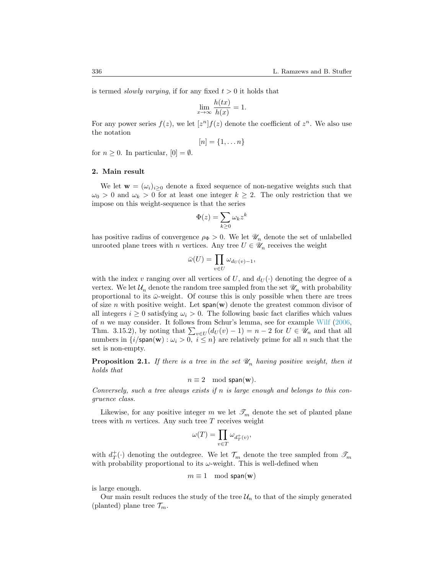is termed *slowly varying*, if for any fixed  $t > 0$  it holds that

$$
\lim_{x \to \infty} \frac{h(tx)}{h(x)} = 1.
$$

For any power series  $f(z)$ , we let  $[z^n] f(z)$  denote the coefficient of  $z^n$ . We also use the notation

$$
[n] = \{1, \ldots n\}
$$

for  $n > 0$ . In particular,  $[0] = \emptyset$ .

#### <span id="page-3-0"></span>2. Main result

We let  $\mathbf{w} = (\omega_i)_{i \geq 0}$  denote a fixed sequence of non-negative weights such that  $\omega_0 > 0$  and  $\omega_k > 0$  for at least one integer  $k \geq 2$ . The only restriction that we impose on this weight-sequence is that the series

$$
\Phi(z) = \sum_{k \ge 0} \omega_k z^k
$$

has positive radius of convergence  $\rho_{\Phi} > 0$ . We let  $\mathcal{U}_n$  denote the set of unlabelled unrooted plane trees with n vertices. Any tree  $U \in \mathscr{U}_n$  receives the weight

$$
\bar{\omega}(U) = \prod_{v \in U} \omega_{d_U(v)-1},
$$

with the index v ranging over all vertices of U, and  $d_U(\cdot)$  denoting the degree of a vertex. We let  $\mathcal{U}_n$  denote the random tree sampled from the set  $\mathcal{U}_n$  with probability proportional to its  $\bar{\omega}$ -weight. Of course this is only possible when there are trees of size n with positive weight. Let  $\text{span}(\mathbf{w})$  denote the greatest common divisor of all integers  $i \geq 0$  satisfying  $\omega_i > 0$ . The following basic fact clarifies which values of  $n$  we may consider. It follows from Schur's lemma, see for example [Wilf](#page-26-1) [\(2006,](#page-26-1) Thm. 3.15.2), by noting that  $\sum_{v \in U} (d_U(v) - 1) = n - 2$  for  $U \in \mathcal{U}_n$  and that all numbers in  $\{i/\text{span}(\mathbf{w}) : \omega_i > 0, i \leq n\}$  are relatively prime for all n such that the set is non-empty.

**Proposition 2.1.** If there is a tree in the set  $\mathcal{U}_n$  having positive weight, then it holds that

$$
n \equiv 2 \mod \mathsf{span}(\mathbf{w}).
$$

Conversely, such a tree always exists if  $n$  is large enough and belongs to this congruence class.

Likewise, for any positive integer m we let  $\mathcal{I}_m$  denote the set of planted plane trees with  $m$  vertices. Any such tree  $T$  receives weight

$$
\omega(T)=\prod_{v\in T}\omega_{d_T^+(v)},
$$

with  $d^+_T(\cdot)$  denoting the outdegree. We let  $\mathcal{T}_m$  denote the tree sampled from  $\mathscr{T}_m$ with probability proportional to its  $\omega$ -weight. This is well-defined when

$$
m \equiv 1 \mod \mathsf{span}(\mathbf{w})
$$

is large enough.

Our main result reduces the study of the tree  $\mathcal{U}_n$  to that of the simply generated (planted) plane tree  $\mathcal{T}_m$ .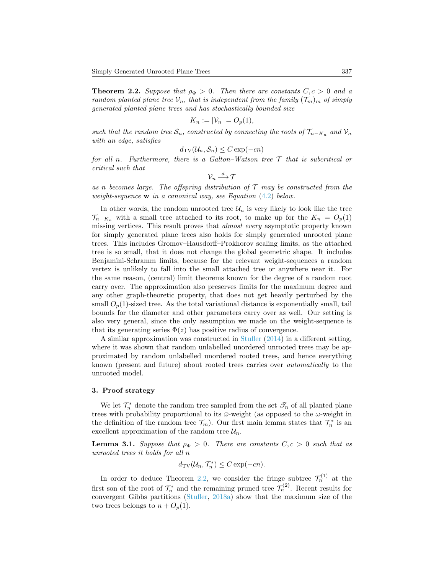<span id="page-4-1"></span>**Theorem 2.2.** Suppose that  $\rho_{\Phi} > 0$ . Then there are constants  $C, c > 0$  and a random planted plane tree  $\mathcal{V}_n$ , that is independent from the family  $(\mathcal{T}_m)_m$  of simply generated planted plane trees and has stochastically bounded size

$$
K_n := |\mathcal{V}_n| = O_p(1),
$$

such that the random tree  $S_n$ , constructed by connecting the roots of  $\mathcal{T}_{n-K_n}$  and  $\mathcal{V}_n$ with an edge, satisfies

$$
d_{\mathrm{TV}}(\mathcal{U}_n, \mathcal{S}_n) \le C \exp(-cn)
$$

for all n. Furthermore, there is a Galton–Watson tree  $\mathcal T$  that is subcritical or critical such that

$$
\mathcal{V}_n\stackrel{d}{\longrightarrow} \mathcal{T}
$$

as n becomes large. The offspring distribution of  $\mathcal T$  may be constructed from the weight-sequence  $w$  in a canonical way, see Equation  $(4.2)$  below.

In other words, the random unrooted tree  $\mathcal{U}_n$  is very likely to look like the tree  $\mathcal{T}_{n-K_n}$  with a small tree attached to its root, to make up for the  $K_n = O_p(1)$ missing vertices. This result proves that almost every asymptotic property known for simply generated plane trees also holds for simply generated unrooted plane trees. This includes Gromov–Hausdorff–Prokhorov scaling limits, as the attached tree is so small, that it does not change the global geometric shape. It includes Benjamini-Schramm limits, because for the relevant weight-sequences a random vertex is unlikely to fall into the small attached tree or anywhere near it. For the same reason, (central) limit theorems known for the degree of a random root carry over. The approximation also preserves limits for the maximum degree and any other graph-theoretic property, that does not get heavily perturbed by the small  $O_p(1)$ -sized tree. As the total variational distance is exponentially small, tail bounds for the diameter and other parameters carry over as well. Our setting is also very general, since the only assumption we made on the weight-sequence is that its generating series  $\Phi(z)$  has positive radius of convergence.

A similar approximation was constructed in [Stufler](#page-25-4) [\(2014\)](#page-25-4) in a different setting, where it was shown that random unlabelled unordered unrooted trees may be approximated by random unlabelled unordered rooted trees, and hence everything known (present and future) about rooted trees carries over automatically to the unrooted model.

# <span id="page-4-0"></span>3. Proof strategy

We let  $\mathcal{T}_n^*$  denote the random tree sampled from the set  $\mathcal{T}_n$  of all planted plane trees with probability proportional to its  $\bar{\omega}$ -weight (as opposed to the  $\omega$ -weight in the definition of the random tree  $\mathcal{T}_m$ ). Our first main lemma states that  $\mathcal{T}_n^*$  is an excellent approximation of the random tree  $\mathcal{U}_n$ .

<span id="page-4-2"></span>**Lemma 3.1.** Suppose that  $\rho_{\Phi} > 0$ . There are constants  $C, c > 0$  such that as unrooted trees it holds for all n

$$
d_{\mathrm{TV}}(\mathcal{U}_n, \mathcal{T}_n^*) \le C \exp(-cn).
$$

In order to deduce Theorem [2.2,](#page-4-1) we consider the fringe subtree  $\mathcal{T}_n^{(1)}$  at the first son of the root of  $\mathcal{T}_n^*$  and the remaining pruned tree  $\mathcal{T}_n^{(2)}$ . Recent results for convergent Gibbs partitions [\(Stufler,](#page-25-7) [2018a\)](#page-25-7) show that the maximum size of the two trees belongs to  $n + O_n(1)$ .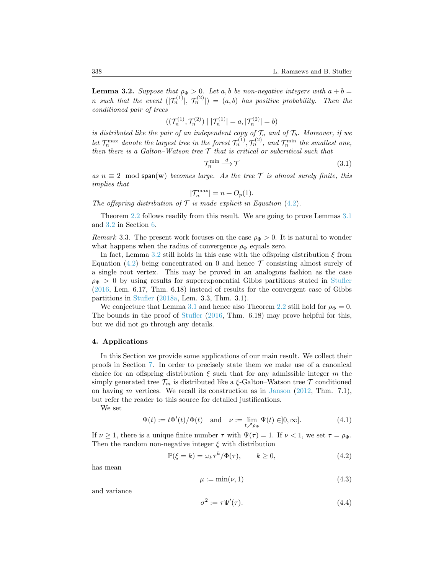<span id="page-5-3"></span>**Lemma 3.2.** Suppose that  $\rho_{\Phi} > 0$ . Let a, b be non-negative integers with  $a + b =$ n such that the event  $(|\mathcal{T}_n^{(1)}|, |\mathcal{T}_n^{(2)}|) = (a, b)$  has positive probability. Then the conditioned pair of trees

$$
((\mathcal{T}_n^{(1)}, \mathcal{T}_n^{(2)}) \mid |\mathcal{T}_n^{(1)}| = a, |\mathcal{T}_n^{(2)}| = b)
$$

is distributed like the pair of an independent copy of  $\mathcal{T}_a$  and of  $\mathcal{T}_b$ . Moreover, if we let  $\mathcal{T}_n^{\max}$  denote the largest tree in the forest  $\mathcal{T}_n^{(1)}$ ,  $\mathcal{T}_n^{(2)}$ , and  $\mathcal{T}_n^{\min}$  the smallest one, then there is a Galton–Watson tree  $\mathcal T$  that is critical or subcritical such that

<span id="page-5-6"></span>
$$
\mathcal{T}_n^{\min} \stackrel{d}{\longrightarrow} \mathcal{T} \tag{3.1}
$$

as  $n \equiv 2 \mod{span(w)}$  becomes large. As the tree T is almost surely finite, this implies that

$$
|\mathcal{T}_n^{\max}| = n + O_p(1).
$$

The offspring distribution of  $\mathcal T$  is made explicit in Equation [\(4.2\)](#page-5-2).

Theorem [2.2](#page-4-1) follows readily from this result. We are going to prove Lemmas [3.1](#page-4-2) and [3.2](#page-5-3) in Section [6.](#page-13-0)

<span id="page-5-0"></span>Remark 3.3. The present work focuses on the case  $\rho_{\Phi} > 0$ . It is natural to wonder what happens when the radius of convergence  $\rho_{\Phi}$  equals zero.

In fact, Lemma [3.2](#page-5-3) still holds in this case with the offspring distribution  $\xi$  from Equation  $(4.2)$  being concentrated on 0 and hence  $\mathcal T$  consisting almost surely of a single root vertex. This may be proved in an analogous fashion as the case  $\rho_{\Phi} > 0$  by using results for superexponential Gibbs partitions stated in [Stufler](#page-25-8) [\(2016,](#page-25-8) Lem. 6.17, Thm. 6.18) instead of results for the convergent case of Gibbs partitions in [Stufler](#page-25-7) [\(2018a,](#page-25-7) Lem. 3.3, Thm. 3.1).

We conjecture that Lemma [3.1](#page-4-2) and hence also Theorem [2.2](#page-4-1) still hold for  $\rho_{\Phi} = 0$ . The bounds in the proof of [Stufler](#page-25-8) [\(2016,](#page-25-8) Thm. 6.18) may prove helpful for this, but we did not go through any details.

# <span id="page-5-1"></span>4. Applications

In this Section we provide some applications of our main result. We collect their proofs in Section [7.](#page-20-0) In order to precisely state them we make use of a canonical choice for an offspring distribution  $\xi$  such that for any admissible integer m the simply generated tree  $\mathcal{T}_m$  is distributed like a  $\xi$ -Galton–Watson tree  $\mathcal T$  conditioned on having m vertices. We recall its construction as in [Janson](#page-25-0)  $(2012, Thm. 7.1)$  $(2012, Thm. 7.1)$ , but refer the reader to this source for detailed justifications.

We set

$$
\Psi(t) := t\Phi'(t)/\Phi(t) \quad \text{and} \quad \nu := \lim_{t \nearrow \rho_{\Phi}} \Psi(t) \in ]0, \infty]. \tag{4.1}
$$

If  $\nu > 1$ , there is a unique finite number  $\tau$  with  $\Psi(\tau) = 1$ . If  $\nu < 1$ , we set  $\tau = \rho_{\Phi}$ . Then the random non-negative integer  $\xi$  with distribution

$$
\mathbb{P}(\xi = k) = \omega_k \tau^k / \Phi(\tau), \qquad k \ge 0,
$$
\n(4.2)

has mean

<span id="page-5-4"></span><span id="page-5-2"></span>
$$
\mu := \min(\nu, 1) \tag{4.3}
$$

and variance

<span id="page-5-5"></span>
$$
\sigma^2 := \tau \Psi'(\tau). \tag{4.4}
$$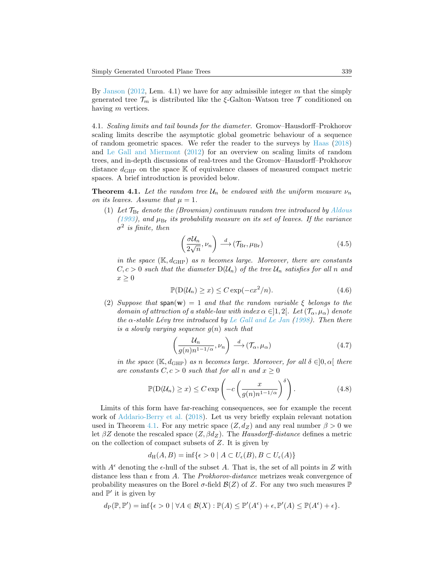By [Janson](#page-25-0) [\(2012,](#page-25-0) Lem. 4.1) we have for any admissible integer  $m$  that the simply generated tree  $\mathcal{T}_m$  is distributed like the  $\xi$ -Galton–Watson tree  $\mathcal T$  conditioned on having m vertices.

<span id="page-6-0"></span>4.1. Scaling limits and tail bounds for the diameter. Gromov–Hausdorff–Prokhorov scaling limits describe the asymptotic global geometric behaviour of a sequence of random geometric spaces. We refer the reader to the surveys by [Haas](#page-25-9) [\(2018\)](#page-25-9) and [Le Gall and Miermont](#page-25-6) [\(2012\)](#page-25-6) for an overview on scaling limits of random trees, and in-depth discussions of real-trees and the Gromov–Hausdorff–Prokhorov distance  $d_{\text{GHP}}$  on the space K of equivalence classes of measured compact metric spaces. A brief introduction is provided below.

<span id="page-6-1"></span>**Theorem 4.1.** Let the random tree  $\mathcal{U}_n$  be endowed with the uniform measure  $\nu_n$ on its leaves. Assume that  $\mu = 1$ .

(1) Let  $\mathcal{T}_{\text{Br}}$  denote the (Brownian) continuum random tree introduced by [Aldous](#page-24-2) [\(1993\)](#page-24-2), and  $\mu_{\text{Br}}$  its probability measure on its set of leaves. If the variance  $\sigma^2$  is finite, then

<span id="page-6-3"></span><span id="page-6-2"></span>
$$
\left(\frac{\sigma \mathcal{U}_n}{2\sqrt{n}}, \nu_n\right) \stackrel{d}{\longrightarrow} \left(\mathcal{T}_{\mathrm{Br}}, \mu_{\mathrm{Br}}\right) \tag{4.5}
$$

in the space  $(\mathbb{K}, d_{\text{GHP}})$  as n becomes large. Moreover, there are constants  $C, c > 0$  such that the diameter  $D(\mathcal{U}_n)$  of the tree  $\mathcal{U}_n$  satisfies for all n and  $x \geq 0$ 

$$
\mathbb{P}(\mathcal{D}(\mathcal{U}_n) \ge x) \le C \exp(-cx^2/n). \tag{4.6}
$$

(2) Suppose that  $\text{span}(\mathbf{w}) = 1$  and that the random variable  $\xi$  belongs to the domain of attraction of a stable-law with index  $\alpha \in ]1,2[$ . Let  $(\mathcal{T}_{\alpha},\mu_{\alpha})$  denote the  $\alpha$ -stable Lévy tree introduced by [Le Gall and Le Jan](#page-25-10) [\(1998\)](#page-25-10). Then there is a slowly varying sequence  $q(n)$  such that

<span id="page-6-5"></span><span id="page-6-4"></span>
$$
\left(\frac{\mathcal{U}_n}{g(n)n^{1-1/\alpha}}, \nu_n\right) \stackrel{d}{\longrightarrow} \left(\mathcal{T}_\alpha, \mu_\alpha\right) \tag{4.7}
$$

in the space  $(\mathbb{K}, d_{\text{GHP}})$  as n becomes large. Moreover, for all  $\delta \in ]0, \alpha[$  there are constants  $C, c > 0$  such that for all n and  $x \ge 0$ 

$$
\mathbb{P}(\mathcal{D}(\mathcal{U}_n) \ge x) \le C \exp\left(-c \left(\frac{x}{g(n)n^{1-1/\alpha}}\right)^{\delta}\right). \tag{4.8}
$$

Limits of this form have far-reaching consequences, see for example the recent work of [Addario-Berry et al.](#page-24-4) [\(2018\)](#page-24-4). Let us very briefly explain relevant notation used in Theorem [4.1.](#page-6-1) For any metric space  $(Z, d_Z)$  and any real number  $\beta > 0$  we let  $\beta Z$  denote the rescaled space  $(Z, \beta d_Z)$ . The Hausdorff-distance defines a metric on the collection of compact subsets of Z. It is given by

$$
d_H(A, B) = \inf \{ \epsilon > 0 \mid A \subset U_{\epsilon}(B), B \subset U_{\epsilon}(A) \}
$$

with  $A^{\epsilon}$  denoting the  $\epsilon$ -hull of the subset A. That is, the set of all points in Z with distance less than  $\epsilon$  from A. The *Prokhorov-distance* metrizes weak convergence of probability measures on the Borel  $\sigma$ -field  $\mathcal{B}(Z)$  of Z. For any two such measures  $\mathbb P$ and  $\mathbb{P}'$  it is given by

$$
d_{\mathcal{P}}(\mathbb{P}, \mathbb{P}') = \inf \{ \epsilon > 0 \mid \forall A \in \mathcal{B}(X) : \mathbb{P}(A) \le \mathbb{P}'(A^{\epsilon}) + \epsilon, \mathbb{P}'(A) \le \mathbb{P}(A^{\epsilon}) + \epsilon \}.
$$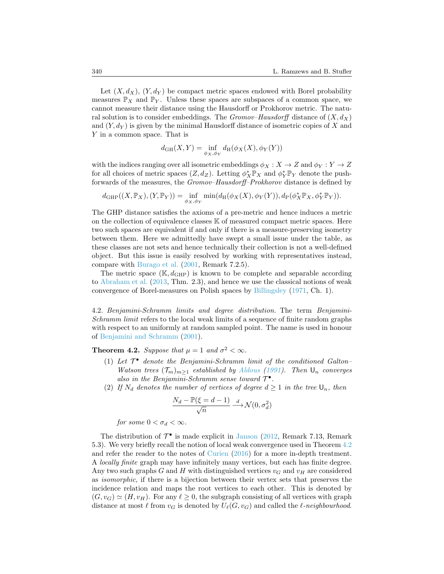Let  $(X, d_X)$ ,  $(Y, d_Y)$  be compact metric spaces endowed with Borel probability measures  $\mathbb{P}_X$  and  $\mathbb{P}_Y$ . Unless these spaces are subspaces of a common space, we cannot measure their distance using the Hausdorff or Prokhorov metric. The natural solution is to consider embeddings. The *Gromov–Hausdorff* distance of  $(X, d_X)$ and  $(Y, d_Y)$  is given by the minimal Hausdorff distance of isometric copies of X and Y in a common space. That is

$$
d_{\mathrm{GH}}(X,Y)=\inf_{\phi_X,\phi_Y}d_{\mathrm{H}}(\phi_X(X),\phi_Y(Y))
$$

with the indices ranging over all isometric embeddings  $\phi_X : X \to Z$  and  $\phi_Y : Y \to Z$ for all choices of metric spaces  $(Z, d_Z)$ . Letting  $\phi_X^* \mathbb{P}_X$  and  $\phi_Y^* \mathbb{P}_Y$  denote the pushforwards of the measures, the Gromov–Hausdorff–Prokhorov distance is defined by

$$
d_{\mathrm{GHP}}((X,\mathbb{P}_X),(Y,\mathbb{P}_Y)) = \inf_{\phi_X,\phi_Y} \min(d_{\mathrm{H}}(\phi_X(X),\phi_Y(Y)),d_{\mathrm{P}}(\phi_X^*\mathbb{P}_X,\phi_Y^*\mathbb{P}_Y)).
$$

The GHP distance satisfies the axioms of a pre-metric and hence induces a metric on the collection of equivalence classes K of measured compact metric spaces. Here two such spaces are equivalent if and only if there is a measure-preserving isometry between them. Here we admittedly have swept a small issue under the table, as these classes are not sets and hence technically their collection is not a well-defined object. But this issue is easily resolved by working with representatives instead, compare with [Burago et al.](#page-24-5) [\(2001,](#page-24-5) Remark 7.2.5).

The metric space  $(\mathbb{K}, d_{\text{GHP}})$  is known to be complete and separable according to [Abraham et al.](#page-24-6) [\(2013,](#page-24-6) Thm. 2.3), and hence we use the classical notions of weak convergence of Borel-measures on Polish spaces by [Billingsley](#page-24-7) [\(1971,](#page-24-7) Ch. 1).

<span id="page-7-0"></span>4.2. Benjamini-Schramm limits and degree distribution. The term Benjamini-Schramm limit refers to the local weak limits of a sequence of finite random graphs with respect to an uniformly at random sampled point. The name is used in honour of [Benjamini and Schramm](#page-24-8) [\(2001\)](#page-24-8).

<span id="page-7-1"></span>**Theorem 4.2.** Suppose that  $\mu = 1$  and  $\sigma^2 < \infty$ .

- (1) Let  $\mathcal{T}^{\bullet}$  denote the Benjamini-Schramm limit of the conditioned Galton-Watson trees  $(\mathcal{T}_m)_{m>1}$  established by [Aldous](#page-24-9) [\(1991\)](#page-24-9). Then  $\mathsf{U}_n$  converges also in the Benjamini-Schramm sense toward  $\mathcal{T}^{\bullet}$ .
- (2) If  $N_d$  denotes the number of vertices of degree  $d \geq 1$  in the tree  $\mathsf{U}_n$ , then

$$
\frac{N_d-\mathbb{P}(\xi=d-1)}{\sqrt{n}}\stackrel{d}{\longrightarrow}\mathcal{N}(0,\sigma_d^2)
$$

for some  $0 < \sigma_d < \infty$ .

The distribution of  $\mathcal{T}^{\bullet}$  is made explicit in [Janson](#page-25-0) [\(2012,](#page-25-0) Remark 7.13, Remark 5.3). We very briefly recall the notion of local weak convergence used in Theorem [4.2](#page-7-1) and refer the reader to the notes of [Curien](#page-24-10) [\(2016\)](#page-24-10) for a more in-depth treatment. A locally finite graph may have infinitely many vertices, but each has finite degree. Any two such graphs G and H with distinguished vertices  $v_G$  and  $v_H$  are considered as isomorphic, if there is a bijection between their vertex sets that preserves the incidence relation and maps the root vertices to each other. This is denoted by  $(G, v_G) \simeq (H, v_H)$ . For any  $\ell \geq 0$ , the subgraph consisting of all vertices with graph distance at most  $\ell$  from  $v_G$  is denoted by  $U_{\ell}(G, v_G)$  and called the  $\ell$ -neighbourhood.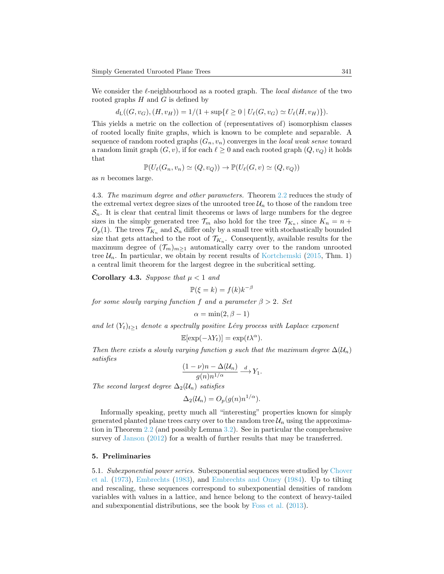We consider the  $\ell$ -neighbourhood as a rooted graph. The *local distance* of the two rooted graphs  $H$  and  $G$  is defined by

 $d_{\text{L}}((G, v_G), (H, v_H)) = 1/(1 + \sup\{\ell \geq 0 \mid U_{\ell}(G, v_G) \simeq U_{\ell}(H, v_H)\}).$ 

This yields a metric on the collection of (representatives of) isomorphism classes of rooted locally finite graphs, which is known to be complete and separable. A sequence of random rooted graphs  $(G_n, v_n)$  converges in the *local weak sense* toward a random limit graph  $(G, v)$ , if for each  $\ell \geq 0$  and each rooted graph  $(Q, v_Q)$  it holds that

$$
\mathbb{P}(U_{\ell}(G_n, v_n) \simeq (Q, v_Q)) \to \mathbb{P}(U_{\ell}(G, v) \simeq (Q, v_Q))
$$

as n becomes large.

<span id="page-8-0"></span>4.3. The maximum degree and other parameters. Theorem [2.2](#page-4-1) reduces the study of the extremal vertex degree sizes of the unrooted tree  $\mathcal{U}_n$  to those of the random tree  $S_n$ . It is clear that central limit theorems or laws of large numbers for the degree sizes in the simply generated tree  $\mathcal{T}_m$  also hold for the tree  $\mathcal{T}_{K_n}$ , since  $K_n = n +$  $O_p(1)$ . The trees  $\mathcal{T}_{K_n}$  and  $\mathcal{S}_n$  differ only by a small tree with stochastically bounded size that gets attached to the root of  $\mathcal{T}_{K_n}$ . Consequently, available results for the maximum degree of  $(\mathcal{T}_m)_{m>1}$  automatically carry over to the random unrooted tree  $\mathcal{U}_n$ . In particular, we obtain by recent results of [Kortchemski](#page-25-11) [\(2015,](#page-25-11) Thm. 1) a central limit theorem for the largest degree in the subcritical setting.

Corollary 4.3. Suppose that  $\mu < 1$  and

$$
\mathbb{P}(\xi = k) = f(k)k^{-\beta}
$$

for some slowly varying function f and a parameter  $\beta > 2$ . Set

$$
\alpha = \min(2, \beta - 1)
$$

and let  $(Y_t)_{t>1}$  denote a spectrally positive Lévy process with Laplace exponent

$$
\mathbb{E}[\exp(-\lambda Y_t)] = \exp(t\lambda^{\alpha}).
$$

Then there exists a slowly varying function g such that the maximum degree  $\Delta(\mathcal{U}_n)$ satisfies

$$
\frac{(1-\nu)n-\Delta(\mathcal{U}_n)}{g(n)n^{1/\alpha}} \xrightarrow{d} Y_1.
$$

The second largest degree  $\Delta_2(\mathcal{U}_n)$  satisfies

$$
\Delta_2(\mathcal{U}_n) = O_p(g(n)n^{1/\alpha}).
$$

Informally speaking, pretty much all "interesting" properties known for simply generated planted plane trees carry over to the random tree  $\mathcal{U}_n$  using the approximation in Theorem [2.2](#page-4-1) (and possibly Lemma [3.2\)](#page-5-3). See in particular the comprehensive survey of [Janson](#page-25-0) [\(2012\)](#page-25-0) for a wealth of further results that may be transferred.

#### <span id="page-8-1"></span>5. Preliminaries

5.1. Subexponential power series. Subexponential sequences were studied by [Chover](#page-24-11) [et al.](#page-24-11) [\(1973\)](#page-24-11), [Embrechts](#page-24-12) [\(1983\)](#page-24-12), and [Embrechts and Omey](#page-24-13) [\(1984\)](#page-24-13). Up to tilting and rescaling, these sequences correspond to subexponential densities of random variables with values in a lattice, and hence belong to the context of heavy-tailed and subexponential distributions, see the book by [Foss et al.](#page-25-12) [\(2013\)](#page-25-12).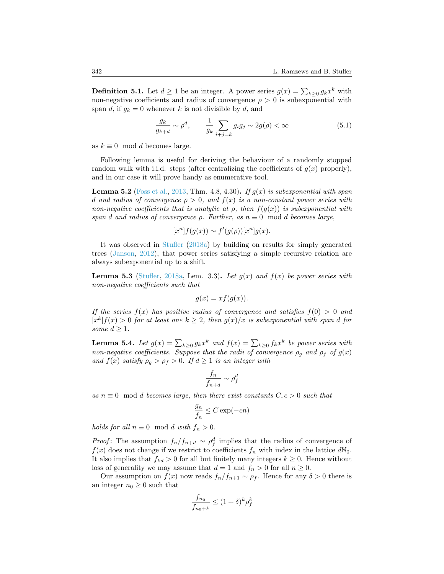**Definition 5.1.** Let  $d \ge 1$  be an integer. A power series  $g(x) = \sum_{k \ge 0} g_k x^k$  with non-negative coefficients and radius of convergence  $\rho > 0$  is subexponential with span d, if  $g_k = 0$  whenever k is not divisible by d, and

$$
\frac{g_k}{g_{k+d}} \sim \rho^d, \qquad \frac{1}{g_k} \sum_{i+j=k} g_i g_j \sim 2g(\rho) < \infty \tag{5.1}
$$

as  $k \equiv 0 \mod d$  becomes large.

Following lemma is useful for deriving the behaviour of a randomly stopped random walk with i.i.d. steps (after centralizing the coefficients of  $g(x)$  properly), and in our case it will prove handy as enumerative tool.

<span id="page-9-1"></span>**Lemma 5.2** [\(Foss et al.,](#page-25-12) [2013,](#page-25-12) Thm. 4.8, 4.30). If  $g(x)$  is subexponential with span d and radius of convergence  $\rho > 0$ , and  $f(x)$  is a non-constant power series with non-negative coefficients that is analytic at  $\rho$ , then  $f(q(x))$  is suberponential with span d and radius of convergence  $\rho$ . Further, as  $n \equiv 0 \mod d$  becomes large,

$$
[xn]f(g(x)) \sim f'(g(\rho))[xn]g(x).
$$

It was observed in [Stufler](#page-25-7) [\(2018a\)](#page-25-7) by building on results for simply generated trees [\(Janson,](#page-25-0) [2012\)](#page-25-0), that power series satisfying a simple recursive relation are always subexponential up to a shift.

<span id="page-9-0"></span>**Lemma 5.3** [\(Stufler,](#page-25-7) [2018a,](#page-25-7) Lem. 3.3). Let  $g(x)$  and  $f(x)$  be power series with non-negative coefficients such that

$$
g(x) = x f(g(x)).
$$

If the series  $f(x)$  has positive radius of convergence and satisfies  $f(0) > 0$  and  $[x<sup>k</sup>]f(x) > 0$  for at least one  $k \geq 2$ , then  $g(x)/x$  is subexponential with span d for some  $d \geq 1$ .

<span id="page-9-2"></span>**Lemma 5.4.** Let  $g(x) = \sum_{k \geq 0} g_k x^k$  and  $f(x) = \sum_{k \geq 0} f_k x^k$  be power series with non-negative coefficients. Suppose that the radii of convergence  $\rho_g$  and  $\rho_f$  of  $g(x)$ and  $f(x)$  satisfy  $\rho_g > \rho_f > 0$ . If  $d \geq 1$  is an integer with

$$
\frac{f_n}{f_{n+d}} \sim \rho_f^d
$$

as  $n \equiv 0 \mod d$  becomes large, then there exist constants  $C, c > 0$  such that

$$
\frac{g_n}{f_n} \le C \exp(-cn)
$$

holds for all  $n \equiv 0 \mod d$  with  $f_n > 0$ .

*Proof*: The assumption  $f_n/f_{n+d} \sim \rho_f^d$  implies that the radius of convergence of  $f(x)$  does not change if we restrict to coefficients  $f_n$  with index in the lattice  $dN_0$ . It also implies that  $f_{kd} > 0$  for all but finitely many integers  $k \geq 0$ . Hence without loss of generality we may assume that  $d = 1$  and  $f_n > 0$  for all  $n \geq 0$ .

Our assumption on  $f(x)$  now reads  $f_n/f_{n+1} \sim \rho_f$ . Hence for any  $\delta > 0$  there is an integer  $n_0 \geq 0$  such that

$$
\frac{f_{n_0}}{f_{n_0+k}} \le (1+\delta)^k \rho_f^k
$$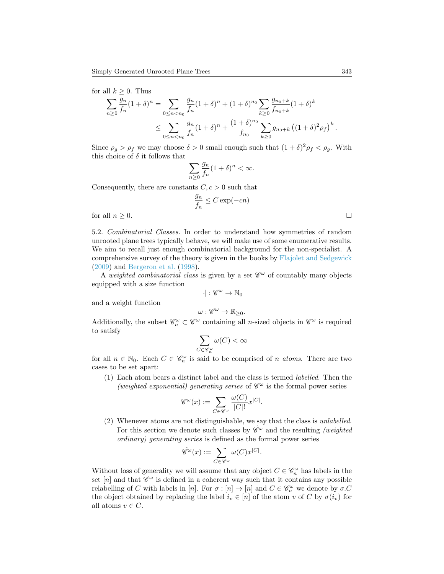for all  $k \geq 0$ . Thus

$$
\sum_{n\geq 0} \frac{g_n}{f_n} (1+\delta)^n = \sum_{0 \leq n < n_0} \frac{g_n}{f_n} (1+\delta)^n + (1+\delta)^{n_0} \sum_{k\geq 0} \frac{g_{n_0+k}}{f_{n_0+k}} (1+\delta)^k
$$
\n
$$
\leq \sum_{0 \leq n < n_0} \frac{g_n}{f_n} (1+\delta)^n + \frac{(1+\delta)^{n_0}}{f_{n_0}} \sum_{k\geq 0} g_{n_0+k} \left( (1+\delta)^2 \rho_f \right)^k.
$$

Since  $\rho_g > \rho_f$  we may choose  $\delta > 0$  small enough such that  $(1 + \delta)^2 \rho_f < \rho_g$ . With this choice of  $\delta$  it follows that

$$
\sum_{n\geq 0} \frac{g_n}{f_n} (1+\delta)^n < \infty.
$$

Consequently, there are constants  $C, c > 0$  such that

$$
\frac{g_n}{f_n} \leq C \exp(-cn)
$$

for all  $n \geq 0$ .

<span id="page-10-0"></span>5.2. Combinatorial Classes. In order to understand how symmetries of random unrooted plane trees typically behave, we will make use of some enumerative results. We aim to recall just enough combinatorial background for the non-specialist. A comprehensive survey of the theory is given in the books by [Flajolet and Sedgewick](#page-24-14) [\(2009\)](#page-24-14) and [Bergeron et al.](#page-24-15) [\(1998\)](#page-24-15).

A weighted combinatorial class is given by a set  $\mathscr{C}^{\omega}$  of countably many objects equipped with a size function

$$
|\cdot|:\mathscr{C}^\omega\to\mathbb{N}_0
$$

and a weight function

$$
\omega: \mathscr{C}^{\omega} \to \mathbb{R}_{\geq 0}.
$$

Additionally, the subset  $\mathscr{C}_n^{\omega} \subset \mathscr{C}^{\omega}$  containing all *n*-sized objects in  $\mathscr{C}^{\omega}$  is required to satisfy

$$
\sum_{C \in \mathscr{C}_n^\omega} \omega(C) < \infty
$$

for all  $n \in \mathbb{N}_0$ . Each  $C \in \mathcal{C}_n^\omega$  is said to be comprised of *n* atoms. There are two cases to be set apart:

(1) Each atom bears a distinct label and the class is termed labelled. Then the (weighted exponential) generating series of  $\mathscr{C}^\omega$  is the formal power series

$$
\mathscr{C}^{\omega}(x) := \sum_{C \in \mathscr{C}^{\omega}} \frac{\omega(C)}{|C|!} x^{|C|}.
$$

(2) Whenever atoms are not distinguishable, we say that the class is unlabelled. For this section we denote such classes by  $\tilde{\mathscr{C}}^{\omega}$  and the resulting *(weighted*) ordinary) generating series is defined as the formal power series

.

$$
\tilde{\mathscr{C}}^{\omega}(x) := \sum_{C \in \mathscr{C}^{\omega}} \omega(C) x^{|C|}
$$

Without loss of generality we will assume that any object  $C \in \mathscr{C}_n^\omega$  has labels in the set [n] and that  $\mathscr{C}^{\omega}$  is defined in a coherent way such that it contains any possible relabelling of C with labels in [n]. For  $\sigma : [n] \to [n]$  and  $C \in \mathcal{C}_n^{\omega}$  we denote by  $\sigma.C$ the object obtained by replacing the label  $i_v \in [n]$  of the atom v of C by  $\sigma(i_v)$  for all atoms  $v \in C$ .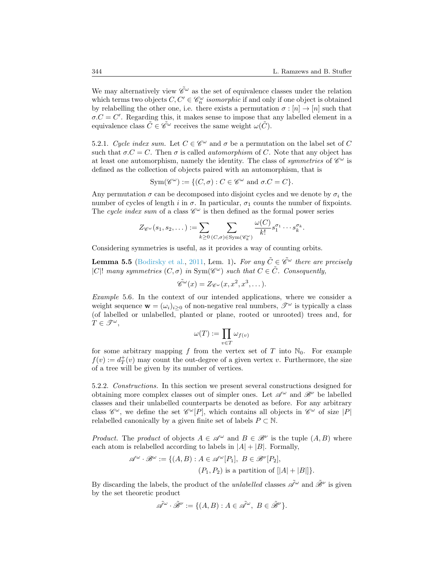We may alternatively view  $\tilde{\mathscr{C}}^\omega$  as the set of equivalence classes under the relation which terms two objects  $C, C' \in \mathcal{C}_n^{\omega}$  isomorphic if and only if one object is obtained by relabelling the other one, i.e. there exists a permutation  $\sigma : [n] \to [n]$  such that  $\sigma.C = C'$ . Regarding this, it makes sense to impose that any labelled element in a equivalence class  $\tilde{C} \in \tilde{\mathscr{C}}^\omega$  receives the same weight  $\omega(\tilde{C})$ .

5.2.1. Cycle index sum. Let  $C \in \mathscr{C}^\omega$  and  $\sigma$  be a permutation on the label set of C such that  $\sigma.C = C$ . Then  $\sigma$  is called *automorphism* of C. Note that any object has at least one automorphism, namely the identity. The class of *symmetries* of  $\mathscr{C}^{\omega}$  is defined as the collection of objects paired with an automorphism, that is

$$
Sym(\mathscr{C}^{\omega}) := \{ (C, \sigma) : C \in \mathscr{C}^{\omega} \text{ and } \sigma.C = C \}.
$$

Any permutation  $\sigma$  can be decomposed into disjoint cycles and we denote by  $\sigma_i$  the number of cycles of length i in  $\sigma$ . In particular,  $\sigma_1$  counts the number of fixpoints. The cycle index sum of a class  $\mathscr{C}^{\omega}$  is then defined as the formal power series

$$
Z_{\mathscr{C}^{\omega}}(s_1, s_2, \dots) := \sum_{k \geq 0} \sum_{(C, \sigma) \in \text{Sym}(\mathscr{C}_{k}^{\omega})} \frac{\omega(C)}{k!} s_1^{\sigma_1} \cdots s_k^{\sigma_k}.
$$

Considering symmetries is useful, as it provides a way of counting orbits.

<span id="page-11-0"></span>**Lemma 5.5** [\(Bodirsky et al.,](#page-24-16) [2011,](#page-24-16) Lem. 1). For any  $\tilde{C} \in \tilde{\mathscr{C}}^{\omega}$  there are precisely |C|! many symmetries  $(C, \sigma)$  in Sym $(\mathscr{C}^{\omega})$  such that  $C \in \tilde{C}$ . Consequently,

$$
\tilde{\mathscr{C}}^{\omega}(x) = Z_{\mathscr{C}^{\omega}}(x, x^2, x^3, \dots).
$$

Example 5.6. In the context of our intended applications, where we consider a weight sequence  $\mathbf{w} = (\omega_i)_{i>0}$  of non-negative real numbers,  $\mathscr{T}^{\omega}$  is typically a class (of labelled or unlabelled, planted or plane, rooted or unrooted) trees and, for  $T \in \mathscr{T}^\omega$ ,

$$
\omega(T):=\prod_{v\in T}\omega_{f(v)}
$$

for some arbitrary mapping f from the vertex set of T into  $\mathbb{N}_0$ . For example  $f(v) := d^+_T(v)$  may count the out-degree of a given vertex v. Furthermore, the size of a tree will be given by its number of vertices.

5.2.2. Constructions. In this section we present several constructions designed for obtaining more complex classes out of simpler ones. Let  $\mathscr{A}^{\omega}$  and  $\mathscr{B}^{\nu}$  be labelled classes and their unlabelled counterparts be denoted as before. For any arbitrary class  $\mathscr{C}^{\omega}$ , we define the set  $\mathscr{C}^{\omega}[P]$ , which contains all objects in  $\mathscr{C}^{\omega}$  of size  $|P|$ relabelled canonically by a given finite set of labels  $P \subset \mathbb{N}$ .

*Product.* The *product* of objects  $A \in \mathcal{A}^{\omega}$  and  $B \in \mathcal{B}^{\nu}$  is the tuple  $(A, B)$  where each atom is relabelled according to labels in  $|A| + |B|$ . Formally,

$$
\mathscr{A}^{\omega} \cdot \mathscr{B}^{\omega} := \{ (A, B) : A \in \mathscr{A}^{\omega}[P_1], B \in \mathscr{B}^{\nu}[P_2], (P_1, P_2) \text{ is a partition of } [|A| + |B|] \}.
$$

By discarding the labels, the product of the *unlabelled* classes  $\tilde{\mathscr{A}}^{\omega}$  and  $\tilde{\mathscr{B}}^{\nu}$  is given by the set theoretic product

$$
\tilde{\mathscr{A}}^{\omega} \cdot \tilde{\mathscr{B}}^{\nu} := \{ (A, B) : A \in \tilde{\mathscr{A}}^{\omega}, \ B \in \tilde{\mathscr{B}}^{\nu} \}.
$$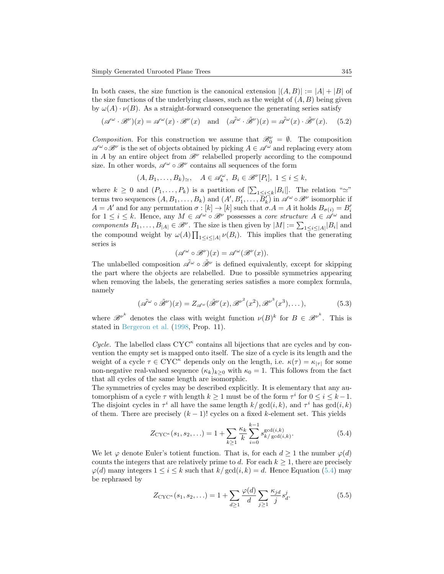In both cases, the size function is the canonical extension  $|(A, B)| := |A| + |B|$  of the size functions of the underlying classes, such as the weight of  $(A, B)$  being given by  $\omega(A) \cdot \nu(B)$ . As a straight-forward consequence the generating series satisfy

$$
(\mathscr{A}^{\omega} \cdot \mathscr{B}^{\nu})(x) = \mathscr{A}^{\omega}(x) \cdot \mathscr{B}^{\nu}(x) \quad \text{and} \quad (\tilde{\mathscr{A}}^{\omega} \cdot \tilde{\mathscr{B}}^{\nu})(x) = \tilde{\mathscr{A}}^{\omega}(x) \cdot \tilde{\mathscr{B}}^{\nu}(x). \tag{5.2}
$$

Composition. For this construction we assume that  $\mathcal{B}_0^{\nu} = \emptyset$ . The composition  $\mathscr{A}^{\omega} \circ \mathscr{B}^{\nu}$  is the set of objects obtained by picking  $A \in \mathscr{A}^{\omega}$  and replacing every atom in A by an entire object from  $\mathscr{B}^{\nu}$  relabelled properly according to the compound size. In other words,  $\mathscr{A}^{\omega}\circ\mathscr{B}^{\nu}$  contains all sequences of the form

<span id="page-12-1"></span> $(A, B_1, \ldots, B_k)_{\simeq}, \quad A \in \mathscr{A}_k^{\omega}, \ B_i \in \mathscr{B}^{\nu}[P_i], \ 1 \leq i \leq k,$ 

where  $k \geq 0$  and  $(P_1, \ldots, P_k)$  is a partition of  $[\sum_{1 \leq i \leq k} |B_i|]$ . The relation " $\simeq$ " terms two sequences  $(A, B_1, \ldots, B_k)$  and  $(A', B'_1, \ldots, \overline{B'_k})$  in  $\mathscr{A}^\omega \circ \mathscr{B}^\nu$  isomorphic if  $A = A'$  and for any permutation  $\sigma : [k] \to [k]$  such that  $\sigma.A = A$  it holds  $B_{\sigma(i)} = B'_i$ for  $1 \leq i \leq k$ . Hence, any  $M \in \mathscr{A}^{\omega} \circ \mathscr{B}^{\nu}$  possesses a *core structure*  $A \in \mathscr{A}^{\omega}$  and components  $B_1, \ldots, B_{|A|} \in \mathcal{B}^{\nu}$ . The size is then given by  $|M| := \sum_{1 \leq i \leq |A|} |B_i|$  and the compound weight by  $\omega(A) \prod_{1 \leq i \leq |A|} \nu(B_i)$ . This implies that the generating series is

$$
(\mathscr{A}^{\omega} \circ \mathscr{B}^{\nu})(x) = \mathscr{A}^{\omega}(\mathscr{B}^{\nu}(x)).
$$

The unlabelled composition  $\tilde{\mathscr{A}}^{\omega} \circ \tilde{\mathscr{B}}^{\nu}$  is defined equivalently, except for skipping the part where the objects are relabelled. Due to possible symmetries appearing when removing the labels, the generating series satisfies a more complex formula, namely

$$
(\tilde{\mathscr{A}}^{\omega} \circ \tilde{\mathscr{B}}^{\nu})(x) = Z_{\mathscr{A}^{\omega}}(\tilde{\mathscr{B}}^{\nu}(x), {\mathscr{B}^{\nu}}^2(x^2), {\mathscr{B}^{\nu}}^3(x^3), \dots), \tag{5.3}
$$

where  $\mathscr{B}^{\nu^k}$  denotes the class with weight function  $\nu(B)^k$  for  $B \in \mathscr{B}^{\nu^k}$ . This is stated in [Bergeron et al.](#page-24-15) [\(1998,](#page-24-15) Prop. 11).

Cycle. The labelled class  $CYC^{\kappa}$  contains all bijections that are cycles and by convention the empty set is mapped onto itself. The size of a cycle is its length and the weight of a cycle  $\tau \in CYC^{\kappa}$  depends only on the length, i.e.  $\kappa(\tau) = \kappa_{|\tau|}$  for some non-negative real-valued sequence  $(\kappa_k)_{k>0}$  with  $\kappa_0 = 1$ . This follows from the fact that all cycles of the same length are isomorphic.

The symmetries of cycles may be described explicitly. It is elementary that any automorphism of a cycle  $\tau$  with length  $k \geq 1$  must be of the form  $\tau^i$  for  $0 \leq i \leq k-1$ . The disjoint cycles in  $\tau^i$  all have the same length  $k/\gcd(i,k)$ , and  $\tau^i$  has  $\gcd(i,k)$ of them. There are precisely  $(k-1)!$  cycles on a fixed k-element set. This yields

<span id="page-12-0"></span>
$$
Z_{\text{CYC}^{\kappa}}(s_1, s_2, \ldots) = 1 + \sum_{k \ge 1} \frac{\kappa_k}{k} \sum_{i=0}^{k-1} s_{k/\gcd(i,k)}^{\gcd(i,k)}.
$$
 (5.4)

We let  $\varphi$  denote Euler's totient function. That is, for each  $d \geq 1$  the number  $\varphi(d)$ counts the integers that are relatively prime to d. For each  $k \geq 1$ , there are precisely  $\varphi(d)$  many integers  $1 \leq i \leq k$  such that  $k/\text{gcd}(i, k) = d$ . Hence Equation [\(5.4\)](#page-12-0) may be rephrased by

<span id="page-12-2"></span>
$$
Z_{\text{CYC}^{\kappa}}(s_1, s_2, \ldots) = 1 + \sum_{d \ge 1} \frac{\varphi(d)}{d} \sum_{j \ge 1} \frac{\kappa_{jd}}{j} s_d^j.
$$
 (5.5)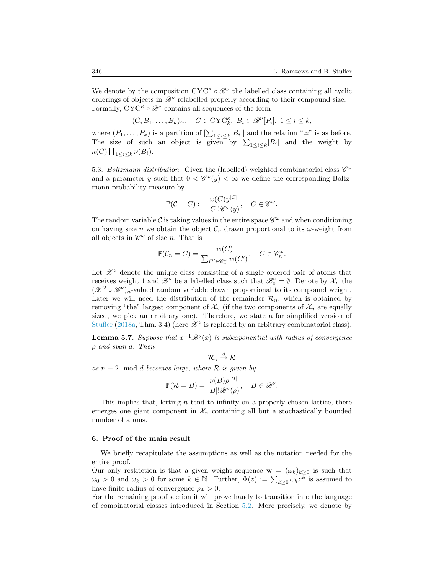We denote by the composition  $CYC^{\kappa} \circ \mathcal{B}^{\nu}$  the labelled class containing all cyclic orderings of objects in  $\mathscr{B}^{\nu}$  relabelled properly according to their compound size. Formally,  $\text{CYC}^{\kappa} \circ \mathcal{B}^{\nu}$  contains all sequences of the form

$$
(C, B_1, \ldots, B_k)_{\simeq}, \quad C \in \mathrm{CYC}_k^{\kappa}, \ B_i \in \mathscr{B}^{\nu}[P_i], \ 1 \le i \le k,
$$

where  $(P_1, \ldots, P_k)$  is a partition of  $\left[\sum_{1 \leq i \leq k} |B_i|\right]$  and the relation " $\simeq$ " is as before. The size of such an object is given by  $\sum_{1 \leq i \leq k} |B_i|$  and the weight by  $\kappa(C) \prod_{1 \leq i \leq k} \nu(B_i).$ 

5.3. Boltzmann distribution. Given the (labelled) weighted combinatorial class  $\mathscr{C}^{\omega}$ and a parameter y such that  $0 < \mathcal{C}^{\omega}(y) < \infty$  we define the corresponding Boltzmann probability measure by

$$
\mathbb{P}(\mathcal{C}=C):=\frac{\omega(C)y^{|C|}}{|C|!\mathscr{C}^{\omega}(y)},\quad C\in\mathscr{C}^{\omega}.
$$

The random variable  $\mathcal C$  is taking values in the entire space  $\mathscr C^\omega$  and when conditioning on having size n we obtain the object  $\mathcal{C}_n$  drawn proportional to its  $\omega$ -weight from all objects in  $\mathscr{C}^{\omega}$  of size *n*. That is

$$
\mathbb{P}(\mathcal{C}_n = C) = \frac{w(C)}{\sum_{C' \in \mathcal{C}_n^{\omega}} w(C')}, \quad C \in \mathcal{C}_n^{\omega}.
$$

Let  $\mathscr{X}^2$  denote the unique class consisting of a single ordered pair of atoms that receives weight 1 and  $\mathscr{B}^{\nu}$  be a labelled class such that  $\mathscr{B}_{0}^{\nu} = \emptyset$ . Denote by  $\mathcal{X}_{n}$  the  $(\mathscr{X}^2 \circ \mathscr{B}^{\nu})_n$ -valued random variable drawn proportional to its compound weight. Later we will need the distribution of the remainder  $\mathcal{R}_n$ , which is obtained by removing "the" largest component of  $\mathcal{X}_n$  (if the two components of  $\mathcal{X}_n$  are equally sized, we pick an arbitrary one). Therefore, we state a far simplified version of [Stufler](#page-25-7) [\(2018a,](#page-25-7) Thm. 3.4) (here  $\mathscr{X}^2$  is replaced by an arbitrary combinatorial class).

<span id="page-13-1"></span>**Lemma 5.7.** Suppose that  $x^{-1}B^{\nu}(x)$  is subexponential with radius of convergence  $\rho$  and span d. Then

$$
\mathcal{R}_n\stackrel{d}{\to}\mathcal{R}
$$

as  $n \equiv 2 \mod d$  becomes large, where  $\mathcal R$  is given by

$$
\mathbb{P}(\mathcal{R} = B) = \frac{\nu(B)\rho^{|B|}}{|B|!\mathscr{B}^{\nu}(\rho)}, \quad B \in \mathscr{B}^{\nu}.
$$

This implies that, letting  $n$  tend to infinity on a properly chosen lattice, there emerges one giant component in  $\mathcal{X}_n$  containing all but a stochastically bounded number of atoms.

# <span id="page-13-0"></span>6. Proof of the main result

We briefly recapitulate the assumptions as well as the notation needed for the entire proof.

Our only restriction is that a given weight sequence  $\mathbf{w} = (\omega_k)_{k \geq 0}$  is such that  $\omega_0 > 0$  and  $\omega_k > 0$  for some  $k \in \mathbb{N}$ . Further,  $\Phi(z) := \sum_{k \geq 0} \omega_k z^{\overline{k}}$  is assumed to have finite radius of convergence  $\rho_{\Phi} > 0$ .

For the remaining proof section it will prove handy to transition into the language of combinatorial classes introduced in Section [5.2.](#page-10-0) More precisely, we denote by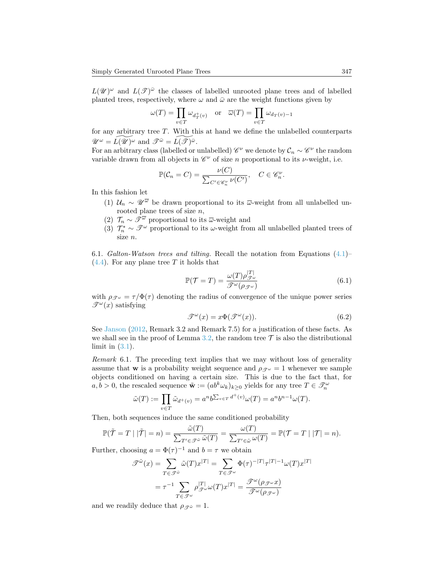$L(\mathscr{U})^{\omega}$  and  $L(\mathscr{T})^{\bar{\omega}}$  the classes of labelled unrooted plane trees and of labelled planted trees, respectively, where  $\omega$  and  $\bar{\omega}$  are the weight functions given by

$$
\omega(T) = \prod_{v \in T} \omega_{d_T^+(v)} \quad \text{or} \quad \overline{\omega}(T) = \prod_{v \in T} \omega_{d_T(v)-1}
$$

for any arbitrary tree T. With this at hand we define the unlabelled counterparts  $\mathscr{U}^{\omega} = \widetilde{L(\mathscr{U})^{\omega}}$  and  $\mathscr{T}^{\bar{\omega}} = \widetilde{L(\mathscr{T})^{\bar{\omega}}}$ .

For an arbitrary class (labelled or unlabelled)  $\mathscr{C}^{\nu}$  we denote by  $\mathcal{C}_n \sim \mathscr{C}^{\nu}$  the random variable drawn from all objects in  $\mathcal{C}^{\nu}$  of size *n* proportional to its *v*-weight, i.e.

$$
\mathbb{P}(\mathcal{C}_n = C) = \frac{\nu(C)}{\sum_{C' \in \mathcal{C}_n^{\nu}} \nu(C')}, \quad C \in \mathcal{C}_n^{\nu}.
$$

In this fashion let

- (1)  $\mathcal{U}_n \sim \mathcal{U}^{\overline{\omega}}$  be drawn proportional to its  $\overline{\omega}$ -weight from all unlabelled unrooted plane trees of size  $n$ ,
- (2)  $\mathcal{T}_n \sim \overline{\mathcal{T}}^{\overline{\omega}}$  proportional to its  $\overline{\omega}$ -weight and
- (3)  $\mathcal{T}_n^* \sim \mathcal{T}^{\omega}$  proportional to its  $\omega$ -weight from all unlabelled planted trees of size n.

6.1. Galton-Watson trees and tilting. Recall the notation from Equations  $(4.1)$ –  $(4.4)$ . For any plane tree T it holds that

<span id="page-14-0"></span>
$$
\mathbb{P}(\mathcal{T} = T) = \frac{\omega(T)\rho_{\mathcal{T}^{\omega}}^{|T|}}{\mathcal{T}^{\omega}(\rho_{\mathcal{T}^{\omega}})}
$$
(6.1)

with  $\rho_{\mathcal{F}^{\omega}} = \tau / \Phi(\tau)$  denoting the radius of convergence of the unique power series  $\mathscr{T}^{\omega}(x)$  satisfying

$$
\mathcal{T}^{\omega}(x) = x \Phi(\mathcal{T}^{\omega}(x)). \tag{6.2}
$$

See [Janson](#page-25-0) [\(2012,](#page-25-0) Remark 3.2 and Remark 7.5) for a justification of these facts. As we shall see in the proof of Lemma [3.2,](#page-5-3) the random tree  $\mathcal T$  is also the distributional limit in  $(3.1)$ .

<span id="page-14-1"></span>Remark 6.1. The preceding text implies that we may without loss of generality assume that **w** is a probability weight sequence and  $\rho_{\mathscr{F}} = 1$  whenever we sample objects conditioned on having a certain size. This is due to the fact that, for  $a, b > 0$ , the rescaled sequence  $\tilde{\mathbf{w}} := (ab^k \omega_k)_{k \geq 0}$  yields for any tree  $T \in \mathcal{F}_n^{\omega}$ 

$$
\tilde{\omega}(T) := \prod_{v \in T} \tilde{\omega}_{d^+(v)} = a^n b^{\sum_{v \in T} d^+(v)} \omega(T) = a^n b^{n-1} \omega(T).
$$

Then, both sequences induce the same conditioned probability

$$
\mathbb{P}(\tilde{\mathcal{T}} = T \mid |\tilde{\mathcal{T}}| = n) = \frac{\tilde{\omega}(T)}{\sum_{T' \in \tilde{\mathcal{F}}^{\tilde{\omega}}} \tilde{\omega}(T)} = \frac{\omega(T)}{\sum_{T' \in \tilde{\omega}} \omega(T)} = \mathbb{P}(\mathcal{T} = T \mid |\mathcal{T}| = n).
$$

Further, choosing  $a = \Phi(\tau)^{-1}$  and  $b = \tau$  we obtain

$$
\mathcal{F}^{\tilde{\omega}}(x) = \sum_{T \in \mathcal{F}^{\tilde{\omega}}} \tilde{\omega}(T)x^{|T|} = \sum_{T \in \mathcal{F}^{\omega}} \Phi(\tau)^{-|T|} \tau^{|T| - 1} \omega(T)x^{|T|}
$$

$$
= \tau^{-1} \sum_{T \in \mathcal{F}^{\omega}} \rho_{\mathcal{F}^{\omega}}^{|T|} \omega(T)x^{|T|} = \frac{\mathcal{F}^{\omega}(\rho_{\mathcal{F}^{\omega}}x)}{\mathcal{F}^{\omega}(\rho_{\mathcal{F}^{\omega}})}
$$

and we readily deduce that  $\rho_{\mathscr{F}^{\tilde{\omega}}} = 1$ .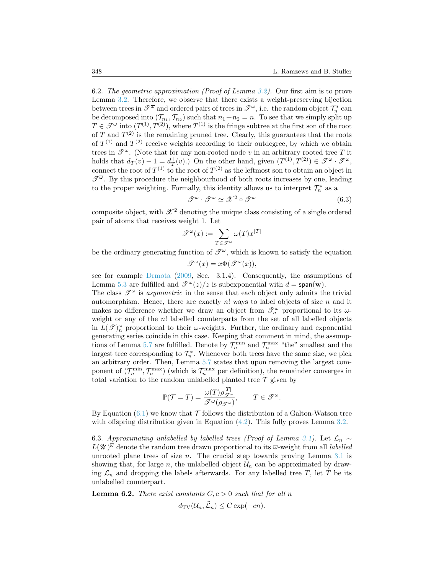6.2. The geometric approximation (Proof of Lemma [3.2\)](#page-5-3). Our first aim is to prove Lemma [3.2.](#page-5-3) Therefore, we observe that there exists a weight-preserving bijection between trees in  $\mathscr{T}^{\overline{\omega}}$  and ordered pairs of trees in  $\mathscr{T}^{\omega}$ , i.e. the random object  $\mathcal{T}_n^*$  can be decomposed into  $(\mathcal{T}_{n_1}, \mathcal{T}_{n_2})$  such that  $n_1+n_2 = n$ . To see that we simply split up  $T \in \mathscr{T}^{\overline{\omega}}$  into  $(T^{(1)}, T^{(2)})$ , where  $T^{(1)}$  is the fringe subtree at the first son of the root of T and  $T^{(2)}$  is the remaining pruned tree. Clearly, this guarantees that the roots of  $T^{(1)}$  and  $T^{(2)}$  receive weights according to their outdegree, by which we obtain trees in  $\mathscr{T}^{\omega}$ . (Note that for any non-rooted node v in an arbitrary rooted tree T it holds that  $d_T(v) - 1 = d_T^+(v)$ .) On the other hand, given  $(T^{(1)}, T^{(2)}) \in \mathcal{F}^{\omega} \cdot \mathcal{F}^{\omega}$ , connect the root of  $T^{(1)}$  to the root of  $T^{(2)}$  as the leftmost son to obtain an object in  $\mathscr{T}^{\overline{\omega}}$ . By this procedure the neighbourhood of both roots increases by one, leading to the proper weighting. Formally, this identity allows us to interpret  $\mathcal{T}_n^*$  as a

<span id="page-15-1"></span>
$$
\mathcal{T}^{\omega} \cdot \mathcal{T}^{\omega} \simeq \mathcal{X}^2 \circ \mathcal{T}^{\omega} \tag{6.3}
$$

composite object, with  $\mathscr{X}^2$  denoting the unique class consisting of a single ordered pair of atoms that receives weight 1. Let

$$
\mathscr{T}^\omega(x):=\sum_{T\in\mathscr{T}^\omega}\omega(T)x^{|T|}
$$

be the ordinary generating function of  $\mathscr{T}^{\omega}$ , which is known to satisfy the equation

 $\mathscr{T}^{\omega}(x) = x \Phi(\mathscr{T}^{\omega}(x)),$ 

see for example [Drmota](#page-24-3) [\(2009,](#page-24-3) Sec. 3.1.4). Consequently, the assumptions of Lemma [5.3](#page-9-0) are fulfilled and  $\mathcal{F}^{(\omega)}(z)/z$  is subexponential with  $d = \text{span}(\mathbf{w})$ .

The class  $\mathscr{F}^{\omega}$  is asymmetric in the sense that each object only admits the trivial automorphism. Hence, there are exactly  $n!$  ways to label objects of size  $n$  and it makes no difference whether we draw an object from  $\mathcal{T}_n^{\omega}$  proportional to its  $\omega$ weight or any of the n! labelled counterparts from the set of all labelled objects in  $L(\mathcal{F})_n^{\omega}$  proportional to their  $\omega$ -weights. Further, the ordinary and exponential generating series coincide in this case. Keeping that comment in mind, the assump-tions of Lemma [5.7](#page-13-1) are fulfilled. Denote by  $\mathcal{T}_n^{\min}$  and  $\mathcal{T}_n^{\max}$  "the" smallest and the largest tree corresponding to  $\mathcal{T}_n^*$ . Whenever both trees have the same size, we pick an arbitrary order. Then, Lemma [5.7](#page-13-1) states that upon removing the largest component of  $(\mathcal{T}_n^{\min}, \mathcal{T}_n^{\max})$  (which is  $\mathcal{T}_n^{\max}$  per definition), the remainder converges in total variation to the random unlabelled planted tree  $\mathcal T$  given by

$$
\mathbb{P}(\mathcal{T} = T) = \frac{\omega(T)\rho_{\mathcal{T}^{\omega}}^{|T|}}{\mathcal{T}^{\omega}(\rho_{\mathcal{T}^{\omega}})}, \qquad T \in \mathcal{T}^{\omega}.
$$

By Equation  $(6.1)$  we know that  $\mathcal T$  follows the distribution of a Galton-Watson tree with offspring distribution given in Equation  $(4.2)$ . This fully proves Lemma [3.2.](#page-5-3)

6.3. Approximating unlabelled by labelled trees (Proof of Lemma [3.1\)](#page-4-2). Let  $\mathcal{L}_n \sim$  $L(\mathscr{U})^{\overline{\omega}}$  denote the random tree drawn proportional to its  $\overline{\omega}$ -weight from all *labelled* unrooted plane trees of size  $n$ . The crucial step towards proving Lemma [3.1](#page-4-2) is showing that, for large n, the unlabelled object  $\mathcal{U}_n$  can be approximated by drawing  $\mathcal{L}_n$  and dropping the labels afterwards. For any labelled tree T, let T be its unlabelled counterpart.

<span id="page-15-0"></span>**Lemma 6.2.** There exist constants  $C, c > 0$  such that for all n  $d_{\text{TV}}(\mathcal{U}_n, \tilde{\mathcal{L}}_n) \leq C \exp(-cn).$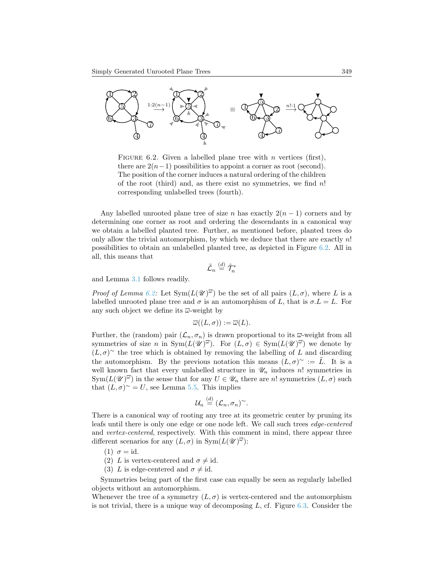

<span id="page-16-0"></span>FIGURE 6.2. Given a labelled plane tree with  $n$  vertices (first), there are  $2(n-1)$  possibilities to appoint a corner as root (second). The position of the corner induces a natural ordering of the children of the root (third) and, as there exist no symmetries, we find  $n!$ corresponding unlabelled trees (fourth).

Any labelled unrooted plane tree of size n has exactly  $2(n - 1)$  corners and by determining one corner as root and ordering the descendants in a canonical way we obtain a labelled planted tree. Further, as mentioned before, planted trees do only allow the trivial automorphism, by which we deduce that there are exactly  $n!$ possibilities to obtain an unlabelled planted tree, as depicted in Figure [6.2.](#page-16-0) All in all, this means that

$$
\tilde{\mathcal{L}}_n\stackrel{(d)}{=}\tilde{\mathcal{T}}_n^*
$$

and Lemma [3.1](#page-4-2) follows readily.

*Proof of Lemma [6.2:](#page-15-0)* Let  $Sym(L(\mathscr{U})^{\overline{\omega}})$  be the set of all pairs  $(L, \sigma)$ , where L is a labelled unrooted plane tree and  $\sigma$  is an automorphism of L, that is  $\sigma.L = L$ . For any such object we define its  $\overline{\omega}$ -weight by

$$
\overline{\omega}((L,\sigma)) := \overline{\omega}(L).
$$

Further, the (random) pair  $(\mathcal{L}_n, \sigma_n)$  is drawn proportional to its  $\overline{\omega}$ -weight from all symmetries of size n in  $Sym(L(\mathscr{U})^{\overline{\omega}})$ . For  $(L,\sigma) \in Sym(L(\mathscr{U})^{\overline{\omega}})$  we denote by  $(L, \sigma)$ <sup>~</sup> the tree which is obtained by removing the labelling of L and discarding the automorphism. By the previous notation this means  $(L, \sigma)$ <sup>~</sup> :=  $\tilde{L}$ . It is a well known fact that every unlabelled structure in  $\mathcal{U}_n$  induces n! symmetries in  $\text{Sym}(L(\mathscr{U})^{\overline{\omega}})$  in the sense that for any  $U \in \mathscr{U}_n$  there are n! symmetries  $(L, \sigma)$  such that  $(L, \sigma)$ <sup>~</sup> = U, see Lemma [5.5.](#page-11-0) This implies

$$
\mathcal{U}_n \stackrel{(d)}{=} (\mathcal{L}_n, \sigma_n)^\sim.
$$

 $\langle \rangle$ 

There is a canonical way of rooting any tree at its geometric center by pruning its leafs until there is only one edge or one node left. We call such trees edge-centered and vertex-centered, respectively. With this comment in mind, there appear three different scenarios for any  $(L, \sigma)$  in  $Sym(L(\mathscr{U})^{\overline{\omega}})$ :

- (1)  $\sigma = id$ .
- (2) L is vertex-centered and  $\sigma \neq id$ .
- (3) L is edge-centered and  $\sigma \neq id$ .

Symmetries being part of the first case can equally be seen as regularly labelled objects without an automorphism.

Whenever the tree of a symmetry  $(L, \sigma)$  is vertex-centered and the automorphism is not trivial, there is a unique way of decomposing  $L$ , cf. Figure [6.3.](#page-18-0) Consider the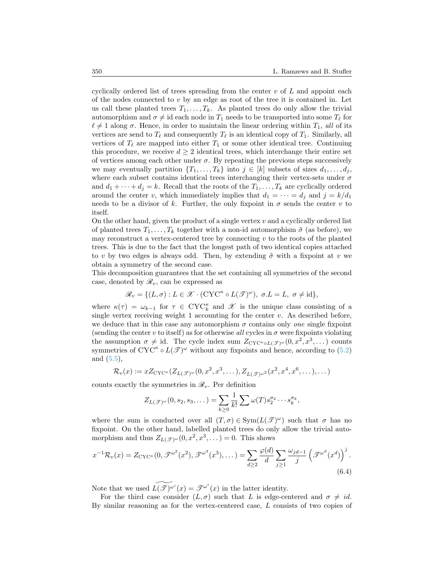cyclically ordered list of trees spreading from the center  $v$  of  $L$  and appoint each of the nodes connected to  $v$  by an edge as root of the tree it is contained in. Let us call these planted trees  $T_1, \ldots, T_k$ . As planted trees do only allow the trivial automorphism and  $\sigma \neq id$  each node in  $T_1$  needs to be transported into some  $T_\ell$  for  $\ell \neq 1$  along  $\sigma$ . Hence, in order to maintain the linear ordering within  $T_1$ , all of its vertices are send to  $T_\ell$  and consequently  $T_\ell$  is an identical copy of  $T_1$ . Similarly, all vertices of  $T_\ell$  are mapped into either  $T_1$  or some other identical tree. Continuing this procedure, we receive  $d \geq 2$  identical trees, which interchange their entire set of vertices among each other under  $\sigma$ . By repeating the previous steps successively we may eventually partition  $\{T_1, \ldots, T_k\}$  into  $j \in [k]$  subsets of sizes  $d_1, \ldots, d_j$ , where each subset contains identical trees interchanging their vertex-sets under  $\sigma$ and  $d_1 + \cdots + d_j = k$ . Recall that the roots of the  $T_1, \ldots, T_k$  are cyclically ordered around the center v, which immediately implies that  $d_1 = \cdots = d_j$  and  $j = k/d_1$ needs to be a divisor of k. Further, the only fixpoint in  $\sigma$  sends the center v to itself.

On the other hand, given the product of a single vertex  $v$  and a cyclically ordered list of planted trees  $T_1, \ldots, T_k$  together with a non-id automorphism  $\tilde{\sigma}$  (as before), we may reconstruct a vertex-centered tree by connecting  $v$  to the roots of the planted trees. This is due to the fact that the longest path of two identical copies attached to v by two edges is always odd. Then, by extending  $\tilde{\sigma}$  with a fixpoint at v we obtain a symmetry of the second case.

This decomposition guarantees that the set containing all symmetries of the second case, denoted by  $\mathcal{R}_v$ , can be expressed as

$$
\mathscr{R}_v = \{ (L, \sigma) : L \in \mathscr{X} \cdot (\mathrm{CYC}^{\kappa} \circ L(\mathscr{T})^{\omega}), \ \sigma.L = L, \ \sigma \neq \mathrm{id} \},
$$

where  $\kappa(\tau) = \omega_{k-1}$  for  $\tau \in CYC_k^{\kappa}$  and  $\mathscr X$  is the unique class consisting of a single vertex receiving weight 1 accounting for the center  $v$ . As described before, we deduce that in this case any automorphism  $\sigma$  contains only *one* single fixpoint (sending the center v to itself) as for otherwise all cycles in  $\sigma$  were fixpoints violating the assumption  $\sigma \neq id$ . The cycle index sum  $Z_{\text{CYC}^{\kappa} \circ L(\mathscr{T})^{\omega}}(0, x^2, x^3, \dots)$  counts symmetries of  $CYC^{\kappa} \circ L(\mathscr{T})^{\omega}$  without any fixpoints and hence, according to [\(5.2\)](#page-12-1) and [\(5.5\)](#page-12-2),

$$
\mathcal{R}_{v}(x) := x Z_{\mathrm{CYC}^{\kappa}}(Z_{L(\mathscr{T})^{\omega}}(0, x^{2}, x^{3}, \dots), Z_{L(\mathscr{T})^{\omega^{2}}}(x^{2}, x^{4}, x^{6}, \dots), \dots)
$$

counts exactly the symmetries in  $\mathcal{R}_v$ . Per definition

$$
Z_{L(\mathscr{T})^{\omega}}(0,s_2,s_3,\dots)=\sum_{k\geq 0}\frac{1}{k!}\sum \omega(T)s_2^{\sigma_2}\cdots s_k^{\sigma_k},
$$

where the sum is conducted over all  $(T, \sigma) \in \text{Sym}(L(\mathcal{F})^{\omega})$  such that  $\sigma$  has no fixpoint. On the other hand, labelled planted trees do only allow the trivial automorphism and thus  $Z_{L(\mathscr{T})^{\omega}}(0, x^2, x^3, ...) = 0$ . This shows

$$
x^{-1}\mathcal{R}_v(x) = Z_{\text{CYC}^\kappa}(0, \mathcal{F}^{\omega^2}(x^2), \mathcal{F}^{\omega^3}(x^3), \dots) = \sum_{d \ge 2} \frac{\varphi(d)}{d} \sum_{j \ge 1} \frac{\omega_{jd-1}}{j} \left(\mathcal{F}^{\omega^d}(x^d)\right)^j.
$$
\n(6.4)

Note that we used  $\widetilde{L(\mathscr{T})^{\omega^i}}(x) = \mathscr{T}^{\omega^i}(x)$  in the latter identity.

For the third case consider  $(L, \sigma)$  such that L is edge-centered and  $\sigma \neq id$ . By similar reasoning as for the vertex-centered case, L consists of two copies of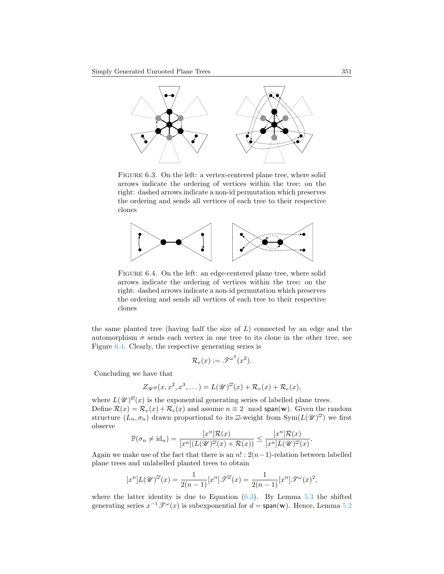

<span id="page-18-0"></span>FIGURE 6.3. On the left: a vertex-centered plane tree, where solid arrows indicate the ordering of vertices within the tree; on the right: dashed arrows indicate a non-id permutation which preserves the ordering and sends all vertices of each tree to their respective clones



<span id="page-18-1"></span>FIGURE 6.4. On the left: an edge-centered plane tree, where solid arrows indicate the ordering of vertices within the tree; on the right: dashed arrows indicate a non-id permutation which preserves the ordering and sends all vertices of each tree to their respective clones

the same planted tree (having half the size of  $L$ ) connected by an edge and the automorphism  $\sigma$  sends each vertex in one tree to its clone in the other tree, see Figure [6.4.](#page-18-1) Clearly, the respective generating series is

$$
\mathcal{R}_e(x) := \mathcal{F}^{\omega^2}(x^2).
$$

Concluding we have that

$$
Z_{\mathscr{U}^{\overline{\omega}}}(x, x^2, x^3, \dots) = L(\mathscr{U})^{\overline{\omega}}(x) + \mathcal{R}_v(x) + \mathcal{R}_e(x),
$$

where  $L(\mathscr{U})^{\overline{\omega}}(x)$  is the exponential generating series of labelled plane trees. Define  $\mathcal{R}(x) = \mathcal{R}_v(x) + \mathcal{R}_e(x)$  and assume  $n \equiv 2 \mod span(w)$ . Given the random structure  $(L_n, \sigma_n)$  drawn proportional to its  $\overline{\omega}$ -weight from  $\text{Sym}(L(\mathscr{U})^{\overline{\omega}})$  we first observe

$$
\mathbb{P}(\sigma_n \neq \mathrm{id}_n) = \frac{[x^n]\mathcal{R}(x)}{[x^n](L(\mathscr{U})^{\overline{\omega}}(x) + \mathcal{R}(x))} \leq \frac{[x^n]\mathcal{R}(x)}{[x^n]L(\mathscr{U})^{\overline{\omega}}(x)}.
$$

Again we make use of the fact that there is an  $n! : 2(n-1)$ -relation between labelled plane trees and unlabelled planted trees to obtain

$$
[x^n]L(\mathscr{U})^{\overline{\omega}}(x) = \frac{1}{2(n-1)}[x^n]\mathscr{T}^{\overline{\omega}}(x) = \frac{1}{2(n-1)}[x^n]\mathscr{T}^{\omega}(x)^2,
$$

where the latter identity is due to Equation  $(6.3)$ . By Lemma [5.3](#page-9-0) the shifted generating series  $x^{-1}\mathcal{F}^{\omega}(x)$  is subexponential for  $d = \text{span}(\mathbf{w})$ . Hence, Lemma [5.2](#page-9-1)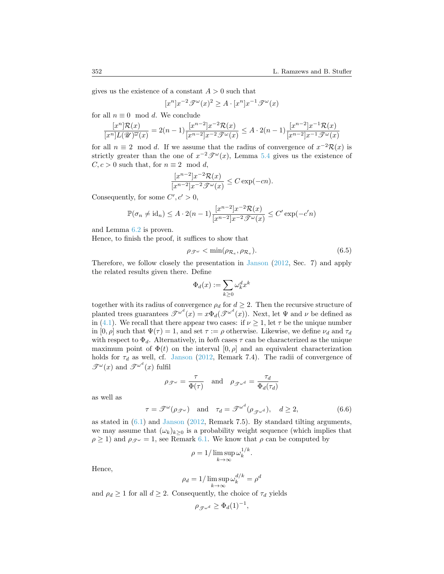gives us the existence of a constant  $A > 0$  such that

$$
[x^n]x^{-2}\mathcal{F}^\omega(x)^2 \geq A \cdot [x^n]x^{-1}\mathcal{F}^\omega(x)
$$

for all  $n \equiv 0 \mod d$ . We conclude

$$
\frac{[x^n]\mathcal{R}(x)}{[x^n]L(\mathscr{U})^{\overline{\omega}}(x)} = 2(n-1)\frac{[x^{n-2}]x^{-2}\mathcal{R}(x)}{[x^{n-2}]x^{-2}\mathscr{T}^{\omega}(x)} \le A \cdot 2(n-1)\frac{[x^{n-2}]x^{-1}\mathcal{R}(x)}{[x^{n-2}]x^{-1}\mathscr{T}^{\omega}(x)}
$$

for all  $n \equiv 2 \mod d$ . If we assume that the radius of convergence of  $x^{-2}R(x)$  is strictly greater than the one of  $x^{-2}\mathcal{F}^{\omega}(x)$ , Lemma [5.4](#page-9-2) gives us the existence of  $C, c > 0$  such that, for  $n \equiv 2 \mod d$ ,

$$
\frac{[x^{n-2}]x^{-2}\mathcal{R}(x)}{[x^{n-2}]x^{-2}\mathcal{J}^{\omega}(x)} \leq C \exp(-cn).
$$

Consequently, for some  $C', c' > 0$ ,

$$
\mathbb{P}(\sigma_n \neq \mathrm{id}_n) \leq A \cdot 2(n-1) \frac{[x^{n-2}]x^{-2} \mathcal{R}(x)}{[x^{n-2}]x^{-2} \mathcal{J}^\omega(x)} \leq C' \exp(-c'n)
$$

and Lemma [6.2](#page-15-0) is proven.

Hence, to finish the proof, it suffices to show that

$$
\rho_{\mathcal{F}^{\omega}} < \min(\rho_{\mathcal{R}_e}, \rho_{\mathcal{R}_v}).\tag{6.5}
$$

Therefore, we follow closely the presentation in [Janson](#page-25-0) [\(2012,](#page-25-0) Sec. 7) and apply the related results given there. Define

<span id="page-19-0"></span>
$$
\Phi_d(x):=\sum_{k\geq 0} \omega_k^d x^k
$$

together with its radius of convergence  $\rho_d$  for  $d \geq 2$ . Then the recursive structure of planted trees guarantees  $\mathscr{T}^{\omega^d}(x) = x \Phi_d(\mathscr{T}^{\omega^d}(x))$ . Next, let  $\Psi$  and  $\nu$  be defined as in [\(4.1\)](#page-5-4). We recall that there appear two cases: if  $\nu \geq 1$ , let  $\tau$  be the unique number in  $[0, \rho]$  such that  $\Psi(\tau) = 1$ , and set  $\tau := \rho$  otherwise. Likewise, we define  $\nu_d$  and  $\tau_d$ with respect to  $\Phi_d$ . Alternatively, in *both* cases  $\tau$  can be characterized as the unique maximum point of  $\Phi(t)$  on the interval  $[0, \rho]$  and an equivalent characterization holds for  $\tau_d$  as well, cf. [Janson](#page-25-0) [\(2012,](#page-25-0) Remark 7.4). The radii of convergence of  $\mathscr{T}^{\omega}(x)$  and  $\mathscr{T}^{\omega^{d}}(x)$  fulfil

$$
\rho_{\mathscr{T}^{\omega}} = \frac{\tau}{\Phi(\tau)} \quad \text{and} \quad \rho_{\mathscr{T}^{\omega^d}} = \frac{\tau_d}{\Phi_d(\tau_d)}
$$

as well as

$$
\tau = \mathcal{F}^{\omega}(\rho \mathcal{F}^{\omega}) \quad \text{and} \quad \tau_d = \mathcal{F}^{\omega^d}(\rho \mathcal{F}^{\omega^d}), \quad d \ge 2, \tag{6.6}
$$

<span id="page-19-1"></span>.

as stated in [\(6.1\)](#page-14-0) and [Janson](#page-25-0) [\(2012,](#page-25-0) Remark 7.5). By standard tilting arguments, we may assume that  $(\omega_k)_{k>0}$  is a probability weight sequence (which implies that  $\rho \ge 1$ ) and  $\rho_{\mathcal{F}^{\omega}} = 1$ , see Remark [6.1.](#page-14-1) We know that  $\rho$  can be computed by

$$
\rho = 1/\limsup_{k \to \infty} \omega_k^{1/k}
$$

Hence,

$$
\rho_d = 1/\limsup_{k \to \infty} \omega_k^{d/k} = \rho^d
$$

and  $\rho_d \geq 1$  for all  $d \geq 2$ . Consequently, the choice of  $\tau_d$  yields

$$
\rho_{\mathcal{J}^{\omega^d}} \ge \Phi_d(1)^{-1},
$$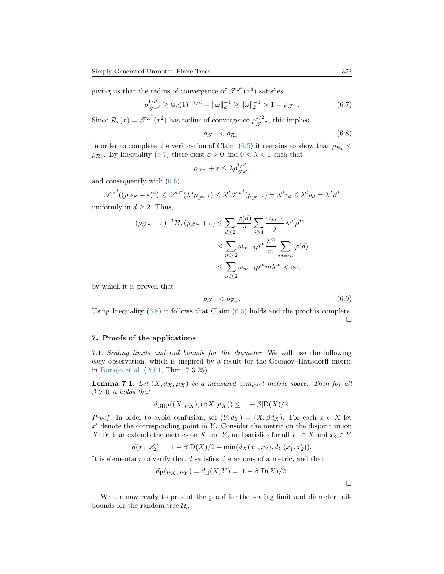giving us that the radius of convergence of  $\mathscr{F}^{\omega^d}(x^d)$  satisfies

$$
\rho_{\mathcal{J}^{\omega^d}}^{1/d} \ge \Phi_d(1)^{-1/d} = \|\omega\|_d^{-1} \ge \|\omega\|_2^{-1} > 1 = \rho_{\mathcal{J}^{\omega}}.\tag{6.7}
$$

Since  $\mathcal{R}_e(x) = \mathcal{F}^{\omega^2}(x^2)$  has radius of convergence  $\rho_{\mathcal{F}^{\omega^2}}^{1/2}$ , this implies

<span id="page-20-2"></span><span id="page-20-1"></span>
$$
\rho_{\mathcal{F}^{\omega}} < \rho_{\mathcal{R}_e}.\tag{6.8}
$$

In order to complete the verification of Claim [\(6.5\)](#page-19-0) it remains to show that  $\rho_{\mathcal{R}_v} \leq$  $\rho_{\mathcal{R}_{e}}$ . By Inequality [\(6.7\)](#page-20-1) there exist  $\varepsilon > 0$  and  $0 < \lambda < 1$  such that

$$
\rho_{\mathscr{T}^{\omega}} + \varepsilon \leq \lambda \rho_{\mathscr{T}^{\omega}}^{1/d}
$$

and consequently with [\(6.6\)](#page-19-1)

$$
\mathcal{F}^{\omega^d}((\rho_{\mathcal{F}^{\omega}} + \varepsilon)^d) \leq \mathcal{F}^{\omega^d}(\lambda^d \rho_{\mathcal{F}^{\omega^d}}) \leq \lambda^d \mathcal{F}^{\omega^d}(\rho_{\mathcal{F}^{\omega^d}}) = \lambda^d \tau_d \leq \lambda^d \rho_d = \lambda^d \rho^d
$$

uniformly in  $d \geq 2$ . Thus,

$$
(\rho_{\mathcal{F}^{\omega}} + \varepsilon)^{-1} \mathcal{R}_{v}(\rho_{\mathcal{F}^{\omega}} + \varepsilon) \le \sum_{d \ge 2} \frac{\varphi(d)}{d} \sum_{j \ge 1} \frac{\omega_{jd-1}}{j} \lambda^{jd} \rho^{jd}
$$
  

$$
\le \sum_{m \ge 2} \omega_{m-1} \rho^{m} \frac{\lambda^{m}}{m} \sum_{jd=m} \varphi(d)
$$
  

$$
\le \sum_{m \ge 2} \omega_{m-1} \rho^{m} m \lambda^{m} < \infty,
$$

by which it is proven that

$$
\rho_{\mathcal{F}^{\omega}} < \rho_{\mathcal{R}_v}.\tag{6.9}
$$

Using Inequality  $(6.8)$  it follows that Claim  $(6.5)$  holds and the proof is complete.  $\Box$ 

# <span id="page-20-0"></span>7. Proofs of the applications

7.1. Scaling limits and tail bounds for the diameter. We will use the following easy observation, which is inspired by a result for the Gromov–Hausdorff metric in [Burago et al.](#page-24-5) [\(2001,](#page-24-5) Thm. 7.3.25).

<span id="page-20-3"></span>**Lemma 7.1.** Let  $(X, d_X, \mu_X)$  be a measured compact metric space. Then for all  $\beta > 0$  it holds that

$$
d_{\text{GHP}}((X, \mu_X), (\beta X, \mu_X)) \le |1 - \beta| \text{D}(X)/2.
$$

*Proof*: In order to avoid confusion, set  $(Y, d_Y) = (X, \beta d_X)$ . For each  $x \in X$  let  $x'$  denote the corresponding point in Y. Consider the metric on the disjoint union  $X \sqcup Y$  that extends the metrics on X and Y, and satisfies for all  $x_1 \in X$  and  $x_2' \in Y$ 

$$
d(x_1,x_2')=|1-\beta|{\mathrm {D}}(X)/2+\min(d_X(x_1,x_2),d_Y(x_1',x_2')).
$$

It is elementary to verify that d satisfies the axioms of a metric, and that

$$
d_{P}(\mu_{X}, \mu_{Y}) = d_{H}(X, Y) = |1 - \beta|D(X)/2.
$$

We are now ready to present the proof for the scaling limit and diameter tailbounds for the random tree  $\mathcal{U}_n$ .

 $\Box$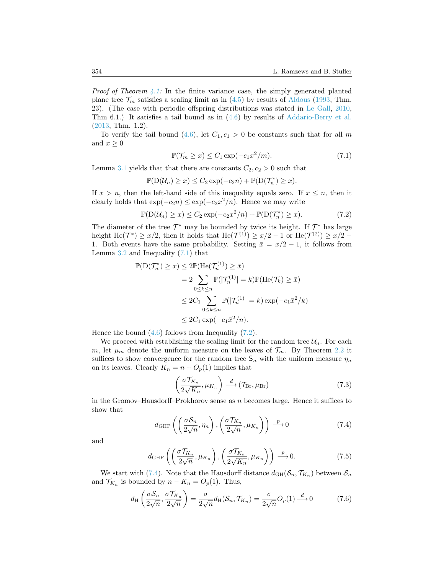*Proof of Theorem [4.1:](#page-6-1)* In the finite variance case, the simply generated planted plane tree  $\mathcal{T}_m$  satisfies a scaling limit as in [\(4.5\)](#page-6-2) by results of [Aldous](#page-24-2) [\(1993,](#page-24-2) Thm. 23). (The case with periodic offspring distributions was stated in [Le Gall,](#page-25-13) [2010,](#page-25-13) Thm 6.1.) It satisfies a tail bound as in  $(4.6)$  by results of [Addario-Berry et al.](#page-24-17) [\(2013,](#page-24-17) Thm. 1.2).

To verify the tail bound [\(4.6\)](#page-6-3), let  $C_1, c_1 > 0$  be constants such that for all m and  $x \geq 0$ 

<span id="page-21-1"></span><span id="page-21-0"></span>
$$
\mathbb{P}(\mathcal{T}_m \ge x) \le C_1 \exp(-c_1 x^2/m). \tag{7.1}
$$

Lemma [3.1](#page-4-2) yields that that there are constants  $C_2, c_2 > 0$  such that

$$
\mathbb{P}(\mathcal{D}(\mathcal{U}_n) \geq x) \leq C_2 \exp(-c_2 n) + \mathbb{P}(\mathcal{D}(\mathcal{T}_n^*) \geq x).
$$

If  $x > n$ , then the left-hand side of this inequality equals zero. If  $x \leq n$ , then it clearly holds that  $\exp(-c_2 n) \leq \exp(-c_2 x^2/n)$ . Hence we may write

$$
\mathbb{P}(\mathcal{D}(\mathcal{U}_n) \ge x) \le C_2 \exp(-c_2 x^2/n) + \mathbb{P}(\mathcal{D}(\mathcal{T}_n^*) \ge x). \tag{7.2}
$$

The diameter of the tree  $\mathcal{T}^*$  may be bounded by twice its height. If  $\mathcal{T}^*$  has large height He( $\mathcal{T}^*$ )  $\geq x/2$ , then it holds that He( $\mathcal{T}^{(1)}$ )  $\geq x/2 - 1$  or He( $\mathcal{T}^{(2)}$ )  $\geq x/2 - 1$ 1. Both events have the same probability. Setting  $\bar{x} = x/2 - 1$ , it follows from Lemma  $3.2$  and Inequality  $(7.1)$  that

$$
\mathbb{P}(\mathcal{D}(\mathcal{T}_n^*) \ge x) \le 2\mathbb{P}(\text{He}(\mathcal{T}_n^{(1)}) \ge \bar{x})
$$
  
=  $2 \sum_{0 \le k \le n} \mathbb{P}(|\mathcal{T}_n^{(1)}| = k)\mathbb{P}(\text{He}(\mathcal{T}_k) \ge \bar{x})$   
 $\le 2C_1 \sum_{0 \le k \le n} \mathbb{P}(|\mathcal{T}_n^{(1)}| = k) \exp(-c_1 \bar{x}^2/k)$   
 $\le 2C_1 \exp(-c_1 \bar{x}^2/n).$ 

Hence the bound  $(4.6)$  follows from Inequality  $(7.2)$ .

We proceed with establishing the scaling limit for the random tree  $\mathcal{U}_n$ . For each m, let  $\mu_m$  denote the uniform measure on the leaves of  $\mathcal{T}_m$ . By Theorem [2.2](#page-4-1) it suffices to show convergence for the random tree  $S_n$  with the uniform measure  $\eta_n$ on its leaves. Clearly  $K_n = n + O_p(1)$  implies that

<span id="page-21-5"></span><span id="page-21-4"></span><span id="page-21-2"></span>
$$
\left(\frac{\sigma \mathcal{T}_{K_n}}{2\sqrt{K_n}}, \mu_{K_n}\right) \stackrel{d}{\longrightarrow} (\mathcal{T}_{\mathrm{Br}}, \mu_{\mathrm{Br}}) \tag{7.3}
$$

in the Gromov–Hausdorff–Prokhorov sense as  $n$  becomes large. Hence it suffices to show that

$$
d_{\text{GHP}}\left(\left(\frac{\sigma S_n}{2\sqrt{n}}, \eta_n\right), \left(\frac{\sigma \mathcal{T}_{K_n}}{2\sqrt{n}}, \mu_{K_n}\right)\right) \xrightarrow{p} 0 \tag{7.4}
$$

and

<span id="page-21-3"></span>
$$
d_{\text{GHP}}\left(\left(\frac{\sigma \mathcal{T}_{K_n}}{2\sqrt{n}}, \mu_{K_n}\right), \left(\frac{\sigma \mathcal{T}_{K_n}}{2\sqrt{K_n}}, \mu_{K_n}\right)\right) \stackrel{p}{\longrightarrow} 0. \tag{7.5}
$$

We start with [\(7.4\)](#page-21-2). Note that the Hausdorff distance  $d_{GH}(S_n, \mathcal{T}_{K_n})$  between  $S_n$ and  $\mathcal{T}_{K_n}$  is bounded by  $n - K_n = O_p(1)$ . Thus,

$$
d_{\rm H}\left(\frac{\sigma S_n}{2\sqrt{n}},\frac{\sigma T_{K_n}}{2\sqrt{n}}\right) = \frac{\sigma}{2\sqrt{n}}d_{\rm H}(\mathcal{S}_n,\mathcal{T}_{K_n}) = \frac{\sigma}{2\sqrt{n}}O_p(1) \stackrel{d}{\longrightarrow} 0\tag{7.6}
$$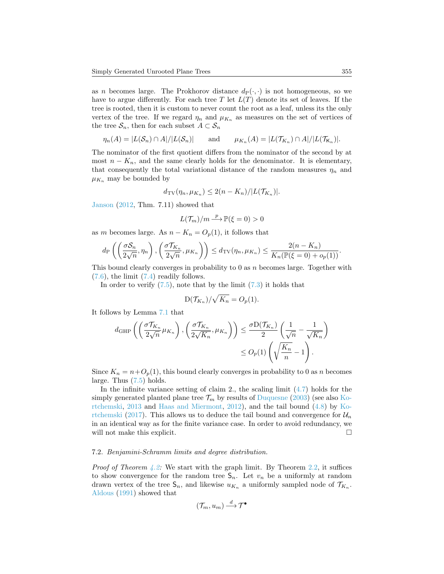as n becomes large. The Prokhorov distance  $d_P(\cdot, \cdot)$  is not homogeneous, so we have to argue differently. For each tree T let  $L(T)$  denote its set of leaves. If the tree is rooted, then it is custom to never count the root as a leaf, unless its the only vertex of the tree. If we regard  $\eta_n$  and  $\mu_{K_n}$  as measures on the set of vertices of the tree  $\mathcal{S}_n$ , then for each subset  $A \subset \mathcal{S}_n$ 

$$
\eta_n(A) = |L(\mathcal{S}_n) \cap A| / |L(\mathcal{S}_n)| \quad \text{and} \quad \mu_{K_n}(A) = |L(\mathcal{T}_{K_n}) \cap A| / |L(\mathcal{T}_{K_n})|.
$$

The nominator of the first quotient differs from the nominator of the second by at most  $n - K_n$ , and the same clearly holds for the denominator. It is elementary, that consequently the total variational distance of the random measures  $\eta_n$  and  $\mu_{K_n}$  may be bounded by

$$
d_{\mathrm{TV}}(\eta_n, \mu_{K_n}) \leq 2(n - K_n)/|L(\mathcal{T}_{K_n})|.
$$

[Janson](#page-25-0) [\(2012,](#page-25-0) Thm. 7.11) showed that

$$
L(\mathcal{T}_m)/m \stackrel{p}{\longrightarrow} \mathbb{P}(\xi = 0) > 0
$$

as m becomes large. As  $n - K_n = O_p(1)$ , it follows that

$$
d_{\rm P}\left(\left(\frac{\sigma S_n}{2\sqrt{n}},\eta_n\right),\left(\frac{\sigma \mathcal{T}_{K_n}}{2\sqrt{n}},\mu_{K_n}\right)\right) \leq d_{\rm TV}(\eta_n,\mu_{K_n}) \leq \frac{2(n-K_n)}{K_n(\mathbb{P}(\xi=0)+o_p(1))}.
$$

This bound clearly converges in probability to  $0$  as n becomes large. Together with  $(7.6)$ , the limit  $(7.4)$  readily follows.

In order to verify  $(7.5)$ , note that by the limit  $(7.3)$  it holds that

$$
D(\mathcal{T}_{K_n})/\sqrt{K_n} = O_p(1).
$$

It follows by Lemma [7.1](#page-20-3) that

$$
d_{\text{GHP}}\left(\left(\frac{\sigma \mathcal{T}_{K_n}}{2\sqrt{n}}\mu_{K_n}\right), \left(\frac{\sigma \mathcal{T}_{K_n}}{2\sqrt{K_n}}, \mu_{K_n}\right)\right) \le \frac{\sigma D(\mathcal{T}_{K_n})}{2} \left(\frac{1}{\sqrt{n}} - \frac{1}{\sqrt{K_n}}\right)
$$

$$
\le O_p(1) \left(\sqrt{\frac{K_n}{n}} - 1\right).
$$

Since  $K_n = n + O_p(1)$ , this bound clearly converges in probability to 0 as n becomes large. Thus [\(7.5\)](#page-21-4) holds.

In the infinite variance setting of claim 2., the scaling limit [\(4.7\)](#page-6-4) holds for the simply generated planted plane tree  $\mathcal{T}_m$  by results of [Duquesne](#page-24-18) [\(2003\)](#page-24-18) (see also [Ko](#page-25-14)[rtchemski,](#page-25-14) [2013](#page-25-14) and [Haas and Miermont,](#page-25-2) [2012\)](#page-25-2), and the tail bound [\(4.8\)](#page-6-5) by [Ko](#page-25-15)[rtchemski](#page-25-15) [\(2017\)](#page-25-15). This allows us to deduce the tail bound and convergence for  $\mathcal{U}_n$ in an identical way as for the finite variance case. In order to avoid redundancy, we will not make this explicit.

### 7.2. Benjamini-Schramm limits and degree distribution.

*Proof of Theorem [4.2:](#page-7-1)* We start with the graph limit. By Theorem [2.2,](#page-4-1) it suffices to show convergence for the random tree  $S_n$ . Let  $v_n$  be a uniformly at random drawn vertex of the tree  $\mathsf{S}_n$ , and likewise  $u_{K_n}$  a uniformly sampled node of  $\mathcal{T}_{K_n}$ . [Aldous](#page-24-9) [\(1991\)](#page-24-9) showed that

$$
(\mathcal {T}_m, u_m) \stackrel{d}{\longrightarrow} \mathcal{T}^\bullet
$$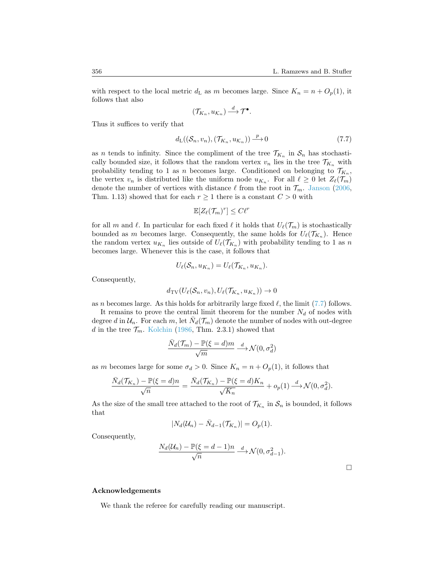with respect to the local metric  $d_{\text{L}}$  as m becomes large. Since  $K_n = n + O_p(1)$ , it follows that also

<span id="page-23-0"></span>
$$
(\mathcal{T}_{K_n},u_{\mathcal{K}_n})\stackrel{d}{\longrightarrow}\mathcal{T}^\bullet.
$$

Thus it suffices to verify that

$$
d_{\mathrm{L}}((\mathcal{S}_n, v_n), (\mathcal{T}_{K_n}, u_{\mathcal{K}_n})) \xrightarrow{p} 0 \tag{7.7}
$$

as *n* tends to infinity. Since the compliment of the tree  $\mathcal{T}_{K_n}$  in  $\mathcal{S}_n$  has stochastically bounded size, it follows that the random vertex  $v_n$  lies in the tree  $\mathcal{T}_{K_n}$  with probability tending to 1 as n becomes large. Conditioned on belonging to  $\mathcal{T}_{K_n}$ , the vertex  $v_n$  is distributed like the uniform node  $u_{K_n}$ . For all  $\ell \geq 0$  let  $Z_{\ell}(\mathcal{T}_m)$ denote the number of vertices with distance  $\ell$  from the root in  $\mathcal{T}_m$ . [Janson](#page-25-16) [\(2006,](#page-25-16) Thm. 1.13) showed that for each  $r > 1$  there is a constant  $C > 0$  with

$$
\mathbb{E}[Z_{\ell}(\mathcal{T}_m)^r] \leq C\ell^r
$$

for all m and  $\ell$ . In particular for each fixed  $\ell$  it holds that  $U_{\ell}(\mathcal{T}_m)$  is stochastically bounded as m becomes large. Consequently, the same holds for  $U_{\ell}(\mathcal{T}_{K_n})$ . Hence the random vertex  $u_{K_n}$  lies outside of  $U_{\ell}(\mathcal{T}_{K_n})$  with probability tending to 1 as n becomes large. Whenever this is the case, it follows that

$$
U_{\ell}(\mathcal{S}_n, u_{K_n}) = U_{\ell}(\mathcal{T}_{K_n}, u_{K_n}).
$$

Consequently,

$$
d_{\text{TV}}(U_\ell(\mathcal{S}_n, v_n), U_\ell(\mathcal{T}_{K_n}, u_{K_n})) \to 0
$$

as n becomes large. As this holds for arbitrarily large fixed  $\ell$ , the limit [\(7.7\)](#page-23-0) follows.

It remains to prove the central limit theorem for the number  $N_d$  of nodes with degree d in  $\mathcal{U}_n$ . For each m, let  $\bar{N}_d(\mathcal{T}_m)$  denote the number of nodes with out-degree d in the tree  $\mathcal{T}_m$ . [Kolchin](#page-25-17) [\(1986,](#page-25-17) Thm. 2.3.1) showed that

$$
\frac{\bar{N}_d(\mathcal{T}_m) - \mathbb{P}(\xi = d)m}{\sqrt{m}} \xrightarrow{d} \mathcal{N}(0, \sigma_d^2)
$$

as m becomes large for some  $\sigma_d > 0$ . Since  $K_n = n + O_p(1)$ , it follows that

$$
\frac{\bar{N}_d(\mathcal{T}_{K_n}) - \mathbb{P}(\xi = d)n}{\sqrt{n}} = \frac{\bar{N}_d(\mathcal{T}_{K_n}) - \mathbb{P}(\xi = d)K_n}{\sqrt{K_n}} + o_p(1) \xrightarrow{d} \mathcal{N}(0, \sigma_d^2).
$$

As the size of the small tree attached to the root of  $\mathcal{T}_{K_n}$  in  $\mathcal{S}_n$  is bounded, it follows that

$$
|N_d(\mathcal{U}_n) - \bar{N}_{d-1}(\mathcal{T}_{K_n})| = O_p(1).
$$

Consequently,

$$
\frac{N_d(\mathcal{U}_n) - \mathbb{P}(\xi = d - 1)n}{\sqrt{n}} \xrightarrow{d} \mathcal{N}(0, \sigma_{d-1}^2).
$$

# Acknowledgements

We thank the referee for carefully reading our manuscript.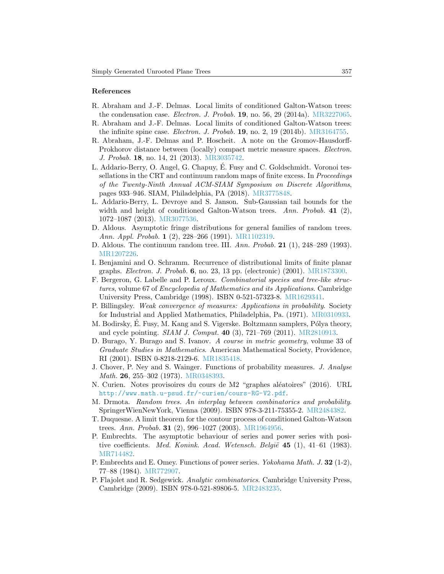#### References

- <span id="page-24-0"></span>R. Abraham and J.-F. Delmas. Local limits of conditioned Galton-Watson trees: the condensation case. Electron. J. Probab.  $19$ , no. 56, 29 (2014a). [MR3227065.](http://www.ams.org/mathscinet-getitem?mr=MR3227065)
- <span id="page-24-1"></span>R. Abraham and J.-F. Delmas. Local limits of conditioned Galton-Watson trees: the infinite spine case. Electron. J. Probab. 19, no. 2, 19 (2014b). [MR3164755.](http://www.ams.org/mathscinet-getitem?mr=MR3164755)
- <span id="page-24-6"></span>R. Abraham, J.-F. Delmas and P. Hoscheit. A note on the Gromov-Hausdorff-Prokhorov distance between (locally) compact metric measure spaces. Electron. J. Probab. 18, no. 14, 21 (2013). [MR3035742.](http://www.ams.org/mathscinet-getitem?mr=MR3035742)
- <span id="page-24-4"></span>L. Addario-Berry, O. Angel, G. Chapuy, E. Fusy and C. Goldschmidt. Voronoi tes- ´ sellations in the CRT and continuum random maps of finite excess. In Proceedings of the Twenty-Ninth Annual ACM-SIAM Symposium on Discrete Algorithms, pages 933–946. SIAM, Philadelphia, PA (2018). [MR3775848.](http://www.ams.org/mathscinet-getitem?mr=MR3775848)
- <span id="page-24-17"></span>L. Addario-Berry, L. Devroye and S. Janson. Sub-Gaussian tail bounds for the width and height of conditioned Galton-Watson trees. Ann. Probab. 41  $(2)$ , 1072–1087 (2013). [MR3077536.](http://www.ams.org/mathscinet-getitem?mr=MR3077536)
- <span id="page-24-9"></span>D. Aldous. Asymptotic fringe distributions for general families of random trees. Ann. Appl. Probab. 1 (2), 228–266 (1991). [MR1102319.](http://www.ams.org/mathscinet-getitem?mr=MR1102319)
- <span id="page-24-2"></span>D. Aldous. The continuum random tree. III. Ann. Probab. 21 (1), 248–289 (1993). [MR1207226.](http://www.ams.org/mathscinet-getitem?mr=MR1207226)
- <span id="page-24-8"></span>I. Benjamini and O. Schramm. Recurrence of distributional limits of finite planar graphs. Electron. J. Probab. 6, no. 23, 13 pp. (electronic) (2001). [MR1873300.](http://www.ams.org/mathscinet-getitem?mr=MR1873300)
- <span id="page-24-15"></span>F. Bergeron, G. Labelle and P. Leroux. Combinatorial species and tree-like structures, volume 67 of Encyclopedia of Mathematics and its Applications. Cambridge University Press, Cambridge (1998). ISBN 0-521-57323-8. [MR1629341.](http://www.ams.org/mathscinet-getitem?mr=MR1629341)
- <span id="page-24-7"></span>P. Billingsley. Weak convergence of measures: Applications in probability. Society for Industrial and Applied Mathematics, Philadelphia, Pa. (1971). [MR0310933.](http://www.ams.org/mathscinet-getitem?mr=MR0310933)
- <span id="page-24-16"></span>M. Bodirsky, É. Fusy, M. Kang and S. Vigerske. Boltzmann samplers, Pólya theory, and cycle pointing. SIAM J. Comput. 40 (3), 721–769 (2011). [MR2810913.](http://www.ams.org/mathscinet-getitem?mr=MR2810913)
- <span id="page-24-5"></span>D. Burago, Y. Burago and S. Ivanov. A course in metric geometry, volume 33 of Graduate Studies in Mathematics. American Mathematical Society, Providence, RI (2001). ISBN 0-8218-2129-6. [MR1835418.](http://www.ams.org/mathscinet-getitem?mr=MR1835418)
- <span id="page-24-11"></span>J. Chover, P. Ney and S. Wainger. Functions of probability measures. J. Analyse Math. 26, 255–302 (1973). [MR0348393.](http://www.ams.org/mathscinet-getitem?mr=MR0348393)
- <span id="page-24-10"></span>N. Curien. Notes provisoires du cours de M2 "graphes aléatoires" (2016). URL <http://www.math.u-psud.fr/~curien/cours-RG-V2.pdf>.
- <span id="page-24-3"></span>M. Drmota. Random trees. An interplay between combinatorics and probability. SpringerWienNewYork, Vienna (2009). ISBN 978-3-211-75355-2. [MR2484382.](http://www.ams.org/mathscinet-getitem?mr=MR2484382)
- <span id="page-24-18"></span>T. Duquesne. A limit theorem for the contour process of conditioned Galton-Watson trees. Ann. Probab. 31 (2), 996–1027 (2003). [MR1964956.](http://www.ams.org/mathscinet-getitem?mr=MR1964956)
- <span id="page-24-12"></span>P. Embrechts. The asymptotic behaviour of series and power series with positive coefficients. Med. Konink. Acad. Wetensch. België  $45$  (1), 41–61 (1983). [MR714482.](http://www.ams.org/mathscinet-getitem?mr=MR714482)
- <span id="page-24-13"></span>P. Embrechts and E. Omey. Functions of power series. *Yokohama Math. J.* 32 (1-2), 77–88 (1984). [MR772907.](http://www.ams.org/mathscinet-getitem?mr=MR772907)
- <span id="page-24-14"></span>P. Flajolet and R. Sedgewick. Analytic combinatorics. Cambridge University Press, Cambridge (2009). ISBN 978-0-521-89806-5. [MR2483235.](http://www.ams.org/mathscinet-getitem?mr=MR2483235)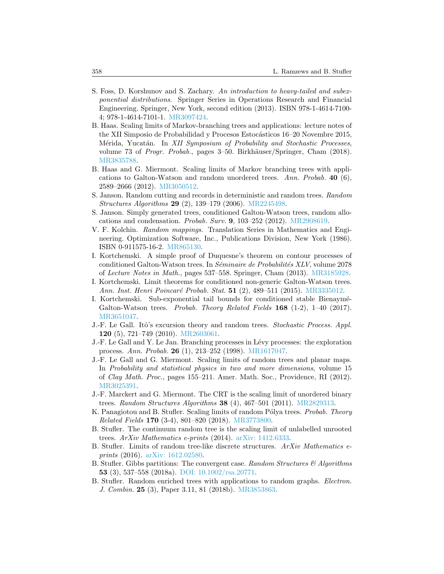- <span id="page-25-12"></span>S. Foss, D. Korshunov and S. Zachary. An introduction to heavy-tailed and subexponential distributions. Springer Series in Operations Research and Financial Engineering. Springer, New York, second edition (2013). ISBN 978-1-4614-7100- 4; 978-1-4614-7101-1. [MR3097424.](http://www.ams.org/mathscinet-getitem?mr=MR3097424)
- <span id="page-25-9"></span>B. Haas. Scaling limits of Markov-branching trees and applications: lecture notes of the XII Simposio de Probabilidad y Procesos Estocásticos 16–20 Novembre 2015, Mérida, Yucatán. In XII Symposium of Probability and Stochastic Processes, volume 73 of Progr. Probab., pages 3–50. Birkhäuser/Springer, Cham (2018). [MR3835788.](http://www.ams.org/mathscinet-getitem?mr=MR3835788)
- <span id="page-25-2"></span>B. Haas and G. Miermont. Scaling limits of Markov branching trees with applications to Galton-Watson and random unordered trees. Ann. Probab.  $40\,(6)$ , 2589–2666 (2012). [MR3050512.](http://www.ams.org/mathscinet-getitem?mr=MR3050512)
- <span id="page-25-16"></span>S. Janson. Random cutting and records in deterministic and random trees. Random Structures Algorithms 29 (2), 139–179 (2006). [MR2245498.](http://www.ams.org/mathscinet-getitem?mr=MR2245498)
- <span id="page-25-0"></span>S. Janson. Simply generated trees, conditioned Galton-Watson trees, random allocations and condensation. *Probab. Surv.* **9**, 103–252 (2012). [MR2908619.](http://www.ams.org/mathscinet-getitem?mr=MR2908619)
- <span id="page-25-17"></span>V. F. Kolchin. Random mappings. Translation Series in Mathematics and Engineering. Optimization Software, Inc., Publications Division, New York (1986). ISBN 0-911575-16-2. [MR865130.](http://www.ams.org/mathscinet-getitem?mr=MR865130)
- <span id="page-25-14"></span>I. Kortchemski. A simple proof of Duquesne's theorem on contour processes of conditioned Galton-Watson trees. In *Séminaire de Probabilités XLV*, volume  $2078$ of Lecture Notes in Math., pages 537–558. Springer, Cham (2013). [MR3185928.](http://www.ams.org/mathscinet-getitem?mr=MR3185928)
- <span id="page-25-11"></span>I. Kortchemski. Limit theorems for conditioned non-generic Galton-Watson trees. Ann. Inst. Henri Poincaré Probab. Stat. 51 (2), 489–511 (2015). [MR3335012.](http://www.ams.org/mathscinet-getitem?mr=MR3335012)
- <span id="page-25-15"></span>I. Kortchemski. Sub-exponential tail bounds for conditioned stable Bienaymé-Galton-Watson trees. Probab. Theory Related Fields  $168$  (1-2), 1-40 (2017). [MR3651047.](http://www.ams.org/mathscinet-getitem?mr=MR3651047)
- <span id="page-25-13"></span>J.-F. Le Gall. Itô's excursion theory and random trees. *Stochastic Process. Appl.* 120 (5), 721–749 (2010). [MR2603061.](http://www.ams.org/mathscinet-getitem?mr=MR2603061)
- <span id="page-25-10"></span>J.-F. Le Gall and Y. Le Jan. Branching processes in Lévy processes: the exploration process. Ann. Probab. 26 (1), 213–252 (1998). [MR1617047.](http://www.ams.org/mathscinet-getitem?mr=MR1617047)
- <span id="page-25-6"></span>J.-F. Le Gall and G. Miermont. Scaling limits of random trees and planar maps. In Probability and statistical physics in two and more dimensions, volume 15 of Clay Math. Proc., pages 155–211. Amer. Math. Soc., Providence, RI (2012). [MR3025391.](http://www.ams.org/mathscinet-getitem?mr=MR3025391)
- <span id="page-25-1"></span>J.-F. Marckert and G. Miermont. The CRT is the scaling limit of unordered binary trees. Random Structures Algorithms 38  $(4)$ , 467–501  $(2011)$ . [MR2829313.](http://www.ams.org/mathscinet-getitem?mr=MR2829313)
- <span id="page-25-3"></span>K. Panagiotou and B. Stufler. Scaling limits of random Pólya trees. Probab. Theory Related Fields 170 (3-4), 801–820 (2018). [MR3773800.](http://www.ams.org/mathscinet-getitem?mr=MR3773800)
- <span id="page-25-4"></span>B. Stufler. The continuum random tree is the scaling limit of unlabelled unrooted trees. ArXiv Mathematics e-prints (2014). [arXiv: 1412.6333.](http://arxiv.org/abs/1412.6333)
- <span id="page-25-8"></span>B. Stufler. Limits of random tree-like discrete structures. ArXiv Mathematics eprints (2016). [arXiv: 1612.02580.](http://arxiv.org/abs/1612.02580)
- <span id="page-25-7"></span>B. Stufler. Gibbs partitions: The convergent case. Random Structures  $\mathcal{B}$  Algorithms 53 (3), 537–558 (2018a). [DOI: 10.1002/rsa.20771.](http://dx.doi.org/10.1002/rsa.20771)
- <span id="page-25-5"></span>B. Stufler. Random enriched trees with applications to random graphs. Electron. J. Combin. 25 (3), Paper 3.11, 81 (2018b). [MR3853863.](http://www.ams.org/mathscinet-getitem?mr=MR3853863)